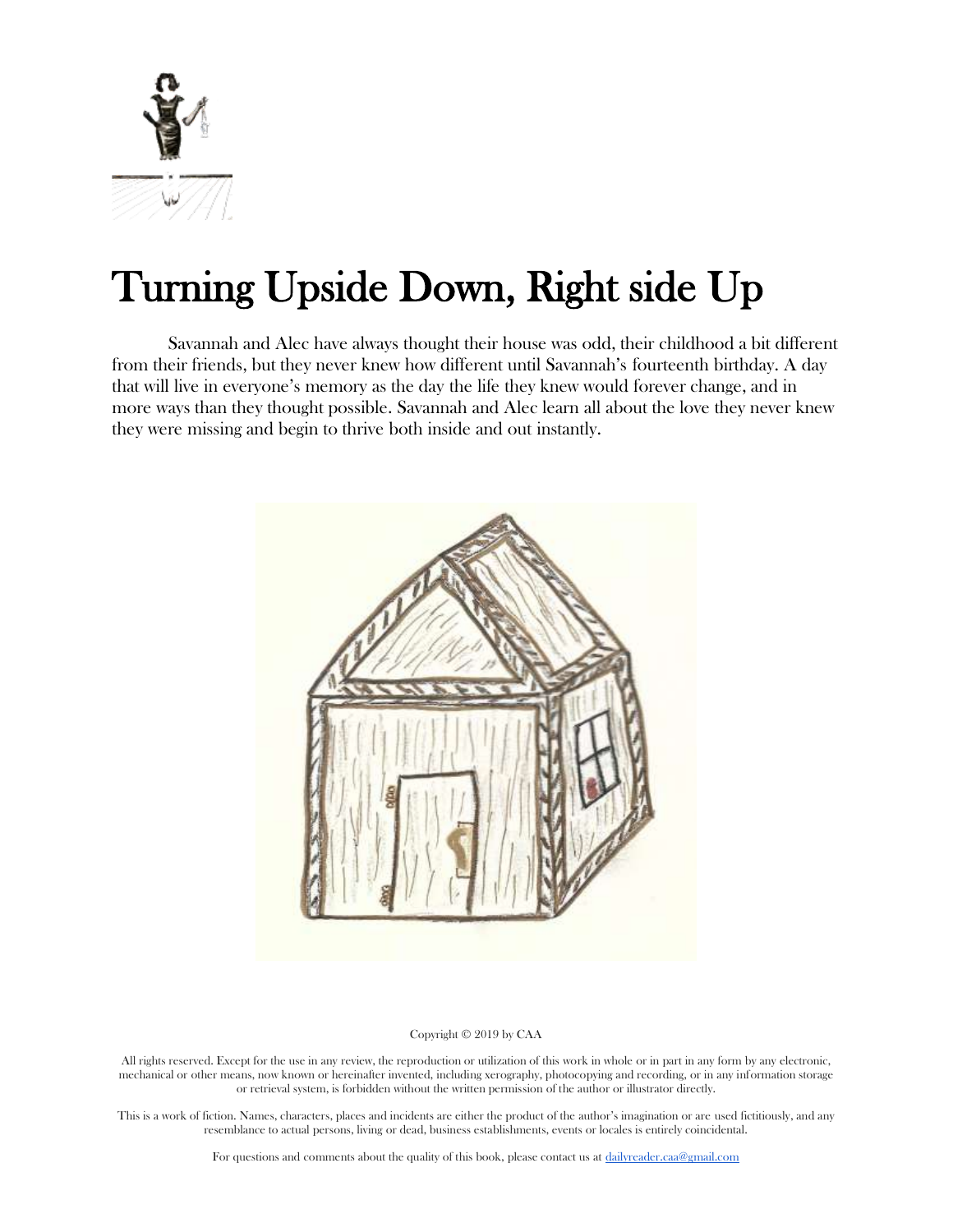

# Turning Upside Down, Right side Up

Savannah and Alec have always thought their house was odd, their childhood a bit different from their friends, but they never knew how different until Savannah's fourteenth birthday. A day that will live in everyone's memory as the day the life they knew would forever change, and in more ways than they thought possible. Savannah and Alec learn all about the love they never knew they were missing and begin to thrive both inside and out instantly.



#### Copyright © 2019 by CAA

All rights reserved. Except for the use in any review, the reproduction or utilization of this work in whole or in part in any form by any electronic, mechanical or other means, now known or hereinafter invented, including xerography, photocopying and recording, or in any information storage or retrieval system, is forbidden without the written permission of the author or illustrator directly.

This is a work of fiction. Names, characters, places and incidents are either the product of the author's imagination or are used fictitiously, and any resemblance to actual persons, living or dead, business establishments, events or locales is entirely coincidental.

For questions and comments about the quality of this book, please contact us at [dailyreader.caa@gmail.com](mailto:dailyreader.caa@gmail.com)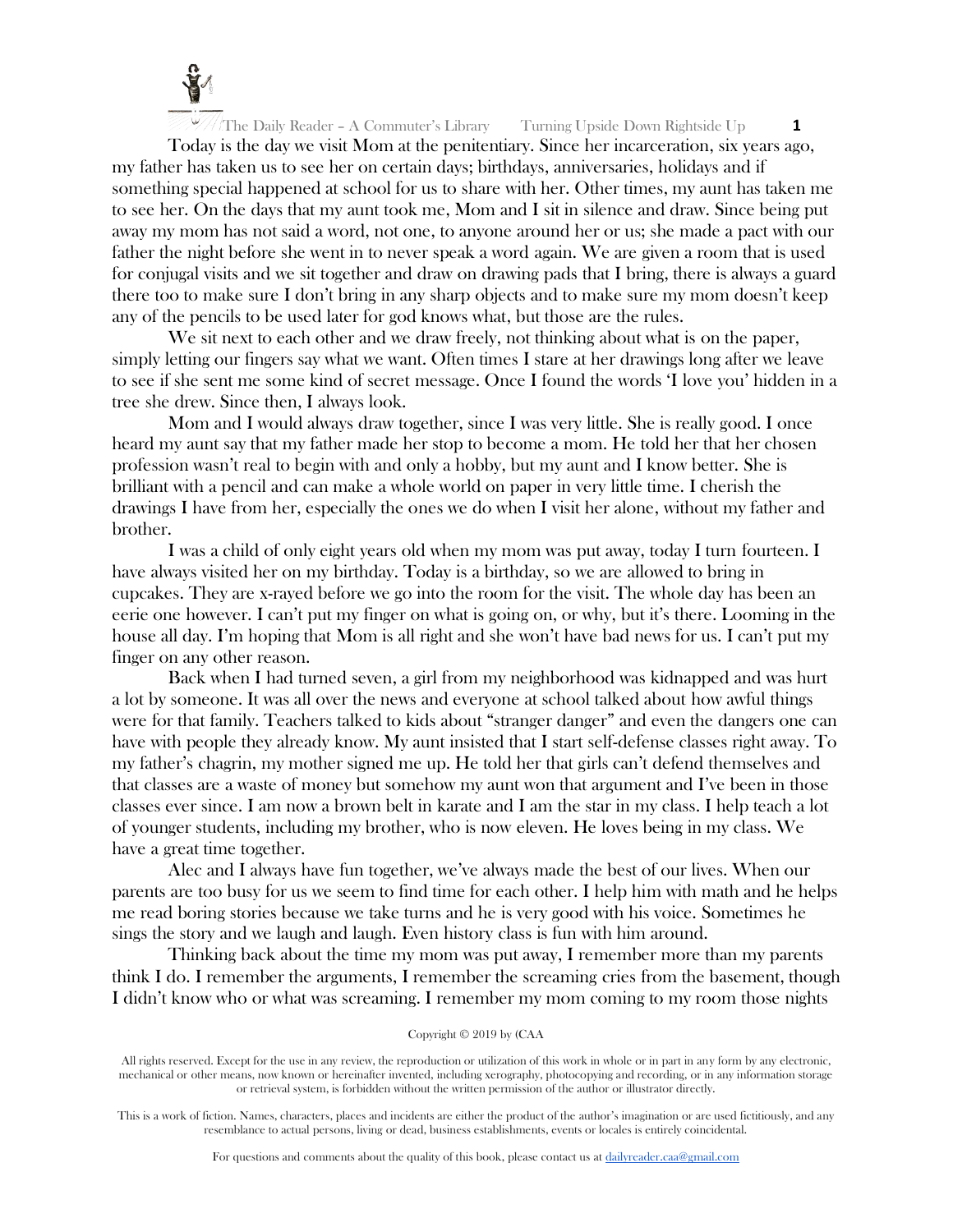

Today is the day we visit Mom at the penitentiary. Since her incarceration, six years ago, my father has taken us to see her on certain days; birthdays, anniversaries, holidays and if something special happened at school for us to share with her. Other times, my aunt has taken me to see her. On the days that my aunt took me, Mom and I sit in silence and draw. Since being put away my mom has not said a word, not one, to anyone around her or us; she made a pact with our father the night before she went in to never speak a word again. We are given a room that is used for conjugal visits and we sit together and draw on drawing pads that I bring, there is always a guard there too to make sure I don't bring in any sharp objects and to make sure my mom doesn't keep any of the pencils to be used later for god knows what, but those are the rules.

We sit next to each other and we draw freely, not thinking about what is on the paper, simply letting our fingers say what we want. Often times I stare at her drawings long after we leave to see if she sent me some kind of secret message. Once I found the words 'I love you' hidden in a tree she drew. Since then, I always look.

Mom and I would always draw together, since I was very little. She is really good. I once heard my aunt say that my father made her stop to become a mom. He told her that her chosen profession wasn't real to begin with and only a hobby, but my aunt and I know better. She is brilliant with a pencil and can make a whole world on paper in very little time. I cherish the drawings I have from her, especially the ones we do when I visit her alone, without my father and brother.

I was a child of only eight years old when my mom was put away, today I turn fourteen. I have always visited her on my birthday. Today is a birthday, so we are allowed to bring in cupcakes. They are x-rayed before we go into the room for the visit. The whole day has been an eerie one however. I can't put my finger on what is going on, or why, but it's there. Looming in the house all day. I'm hoping that Mom is all right and she won't have bad news for us. I can't put my finger on any other reason.

Back when I had turned seven, a girl from my neighborhood was kidnapped and was hurt a lot by someone. It was all over the news and everyone at school talked about how awful things were for that family. Teachers talked to kids about "stranger danger" and even the dangers one can have with people they already know. My aunt insisted that I start self-defense classes right away. To my father's chagrin, my mother signed me up. He told her that girls can't defend themselves and that classes are a waste of money but somehow my aunt won that argument and I've been in those classes ever since. I am now a brown belt in karate and I am the star in my class. I help teach a lot of younger students, including my brother, who is now eleven. He loves being in my class. We have a great time together.

Alec and I always have fun together, we've always made the best of our lives. When our parents are too busy for us we seem to find time for each other. I help him with math and he helps me read boring stories because we take turns and he is very good with his voice. Sometimes he sings the story and we laugh and laugh. Even history class is fun with him around.

Thinking back about the time my mom was put away, I remember more than my parents think I do. I remember the arguments, I remember the screaming cries from the basement, though I didn't know who or what was screaming. I remember my mom coming to my room those nights

#### Copyright © 2019 by (CAA

All rights reserved. Except for the use in any review, the reproduction or utilization of this work in whole or in part in any form by any electronic, mechanical or other means, now known or hereinafter invented, including xerography, photocopying and recording, or in any information storage or retrieval system, is forbidden without the written permission of the author or illustrator directly.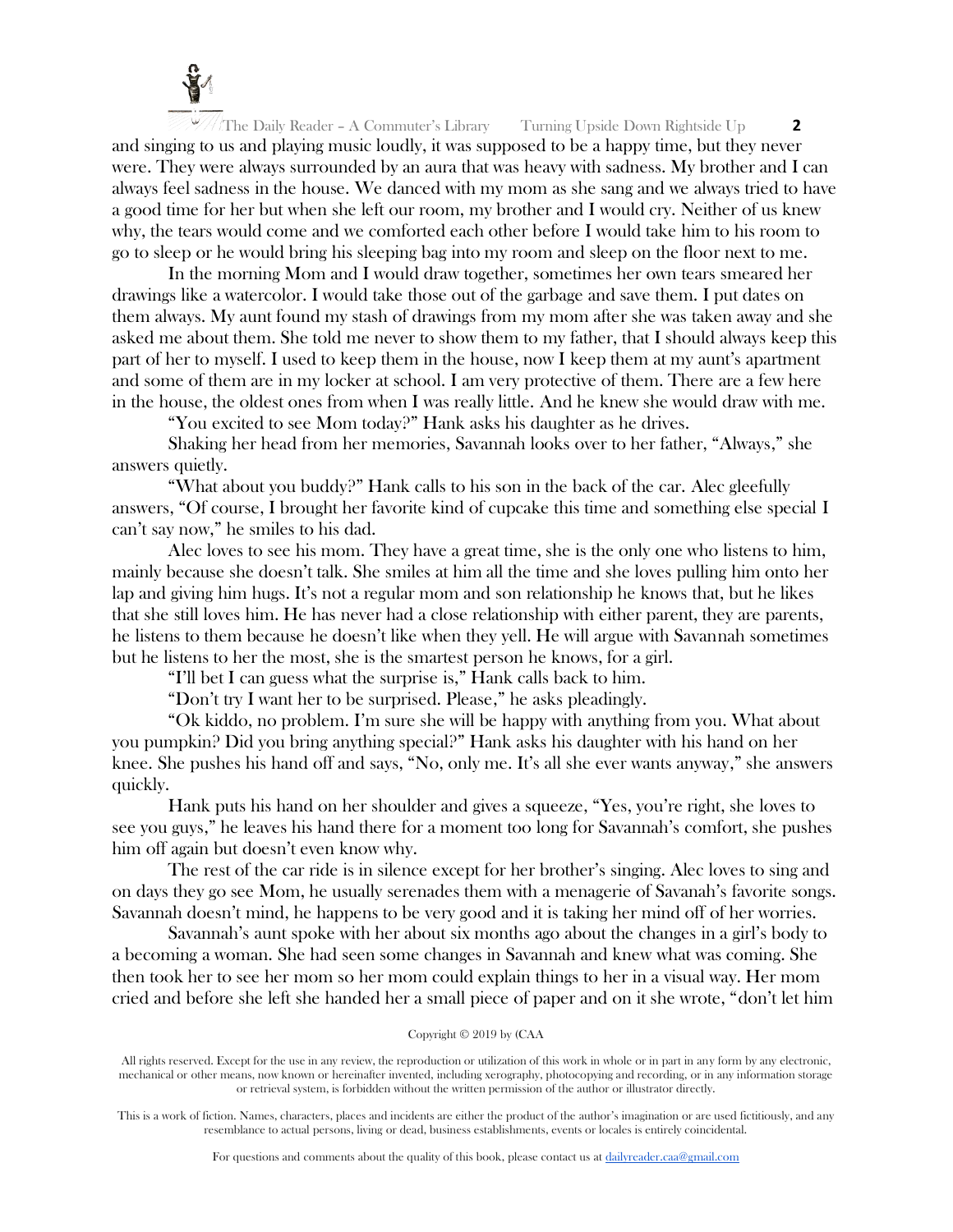

The Daily Reader – A Commuter's Library Turning Upside Down Rightside Up **2** and singing to us and playing music loudly, it was supposed to be a happy time, but they never were. They were always surrounded by an aura that was heavy with sadness. My brother and I can always feel sadness in the house. We danced with my mom as she sang and we always tried to have a good time for her but when she left our room, my brother and I would cry. Neither of us knew why, the tears would come and we comforted each other before I would take him to his room to go to sleep or he would bring his sleeping bag into my room and sleep on the floor next to me.

In the morning Mom and I would draw together, sometimes her own tears smeared her drawings like a watercolor. I would take those out of the garbage and save them. I put dates on them always. My aunt found my stash of drawings from my mom after she was taken away and she asked me about them. She told me never to show them to my father, that I should always keep this part of her to myself. I used to keep them in the house, now I keep them at my aunt's apartment and some of them are in my locker at school. I am very protective of them. There are a few here in the house, the oldest ones from when I was really little. And he knew she would draw with me.

"You excited to see Mom today?" Hank asks his daughter as he drives.

Shaking her head from her memories, Savannah looks over to her father, "Always," she answers quietly.

"What about you buddy?" Hank calls to his son in the back of the car. Alec gleefully answers, "Of course, I brought her favorite kind of cupcake this time and something else special I can't say now," he smiles to his dad.

Alec loves to see his mom. They have a great time, she is the only one who listens to him, mainly because she doesn't talk. She smiles at him all the time and she loves pulling him onto her lap and giving him hugs. It's not a regular mom and son relationship he knows that, but he likes that she still loves him. He has never had a close relationship with either parent, they are parents, he listens to them because he doesn't like when they yell. He will argue with Savannah sometimes but he listens to her the most, she is the smartest person he knows, for a girl.

"I'll bet I can guess what the surprise is," Hank calls back to him.

"Don't try I want her to be surprised. Please," he asks pleadingly.

"Ok kiddo, no problem. I'm sure she will be happy with anything from you. What about you pumpkin? Did you bring anything special?" Hank asks his daughter with his hand on her knee. She pushes his hand off and says, "No, only me. It's all she ever wants anyway," she answers quickly.

Hank puts his hand on her shoulder and gives a squeeze, "Yes, you're right, she loves to see you guys," he leaves his hand there for a moment too long for Savannah's comfort, she pushes him off again but doesn't even know why.

The rest of the car ride is in silence except for her brother's singing. Alec loves to sing and on days they go see Mom, he usually serenades them with a menagerie of Savanah's favorite songs. Savannah doesn't mind, he happens to be very good and it is taking her mind off of her worries.

Savannah's aunt spoke with her about six months ago about the changes in a girl's body to a becoming a woman. She had seen some changes in Savannah and knew what was coming. She then took her to see her mom so her mom could explain things to her in a visual way. Her mom cried and before she left she handed her a small piece of paper and on it she wrote, "don't let him

#### Copyright © 2019 by (CAA

All rights reserved. Except for the use in any review, the reproduction or utilization of this work in whole or in part in any form by any electronic, mechanical or other means, now known or hereinafter invented, including xerography, photocopying and recording, or in any information storage or retrieval system, is forbidden without the written permission of the author or illustrator directly.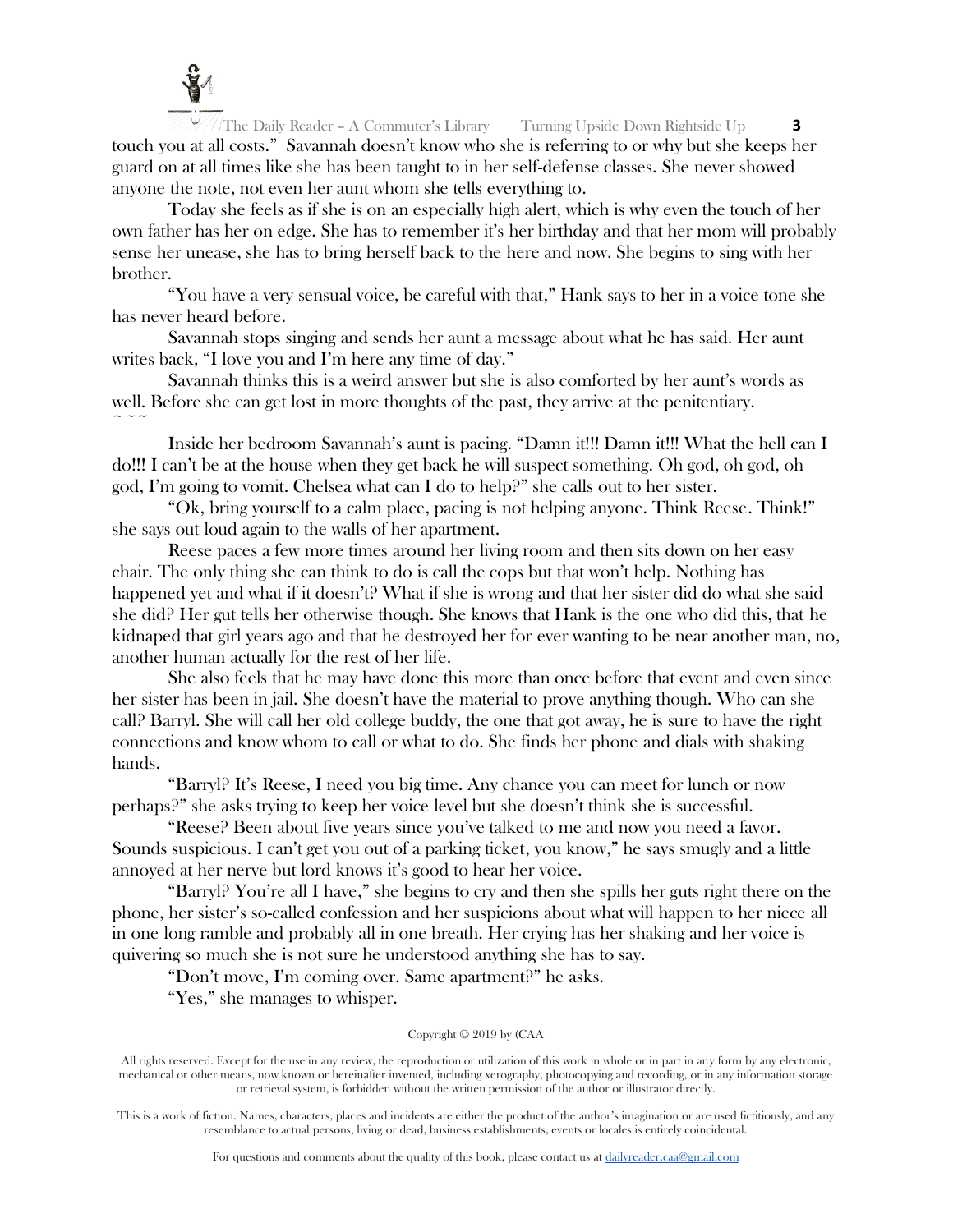

The Daily Reader – A Commuter's Library Turning Upside Down Rightside Up **3** touch you at all costs." Savannah doesn't know who she is referring to or why but she keeps her guard on at all times like she has been taught to in her self-defense classes. She never showed anyone the note, not even her aunt whom she tells everything to.

Today she feels as if she is on an especially high alert, which is why even the touch of her own father has her on edge. She has to remember it's her birthday and that her mom will probably sense her unease, she has to bring herself back to the here and now. She begins to sing with her brother.

"You have a very sensual voice, be careful with that," Hank says to her in a voice tone she has never heard before.

Savannah stops singing and sends her aunt a message about what he has said. Her aunt writes back, "I love you and I'm here any time of day."

Savannah thinks this is a weird answer but she is also comforted by her aunt's words as well. Before she can get lost in more thoughts of the past, they arrive at the penitentiary.  $\sim$   $\sim$   $\sim$ 

Inside her bedroom Savannah's aunt is pacing. "Damn it!!! Damn it!!! What the hell can I do!!! I can't be at the house when they get back he will suspect something. Oh god, oh god, oh god, I'm going to vomit. Chelsea what can I do to help?" she calls out to her sister.

"Ok, bring yourself to a calm place, pacing is not helping anyone. Think Reese. Think!" she says out loud again to the walls of her apartment.

Reese paces a few more times around her living room and then sits down on her easy chair. The only thing she can think to do is call the cops but that won't help. Nothing has happened yet and what if it doesn't? What if she is wrong and that her sister did do what she said she did? Her gut tells her otherwise though. She knows that Hank is the one who did this, that he kidnaped that girl years ago and that he destroyed her for ever wanting to be near another man, no, another human actually for the rest of her life.

She also feels that he may have done this more than once before that event and even since her sister has been in jail. She doesn't have the material to prove anything though. Who can she call? Barryl. She will call her old college buddy, the one that got away, he is sure to have the right connections and know whom to call or what to do. She finds her phone and dials with shaking hands.

"Barryl? It's Reese, I need you big time. Any chance you can meet for lunch or now perhaps?" she asks trying to keep her voice level but she doesn't think she is successful.

"Reese? Been about five years since you've talked to me and now you need a favor. Sounds suspicious. I can't get you out of a parking ticket, you know," he says smugly and a little annoyed at her nerve but lord knows it's good to hear her voice.

"Barryl? You're all I have," she begins to cry and then she spills her guts right there on the phone, her sister's so-called confession and her suspicions about what will happen to her niece all in one long ramble and probably all in one breath. Her crying has her shaking and her voice is quivering so much she is not sure he understood anything she has to say.

"Don't move, I'm coming over. Same apartment?" he asks.

"Yes," she manages to whisper.

## Copyright © 2019 by (CAA

All rights reserved. Except for the use in any review, the reproduction or utilization of this work in whole or in part in any form by any electronic, mechanical or other means, now known or hereinafter invented, including xerography, photocopying and recording, or in any information storage or retrieval system, is forbidden without the written permission of the author or illustrator directly.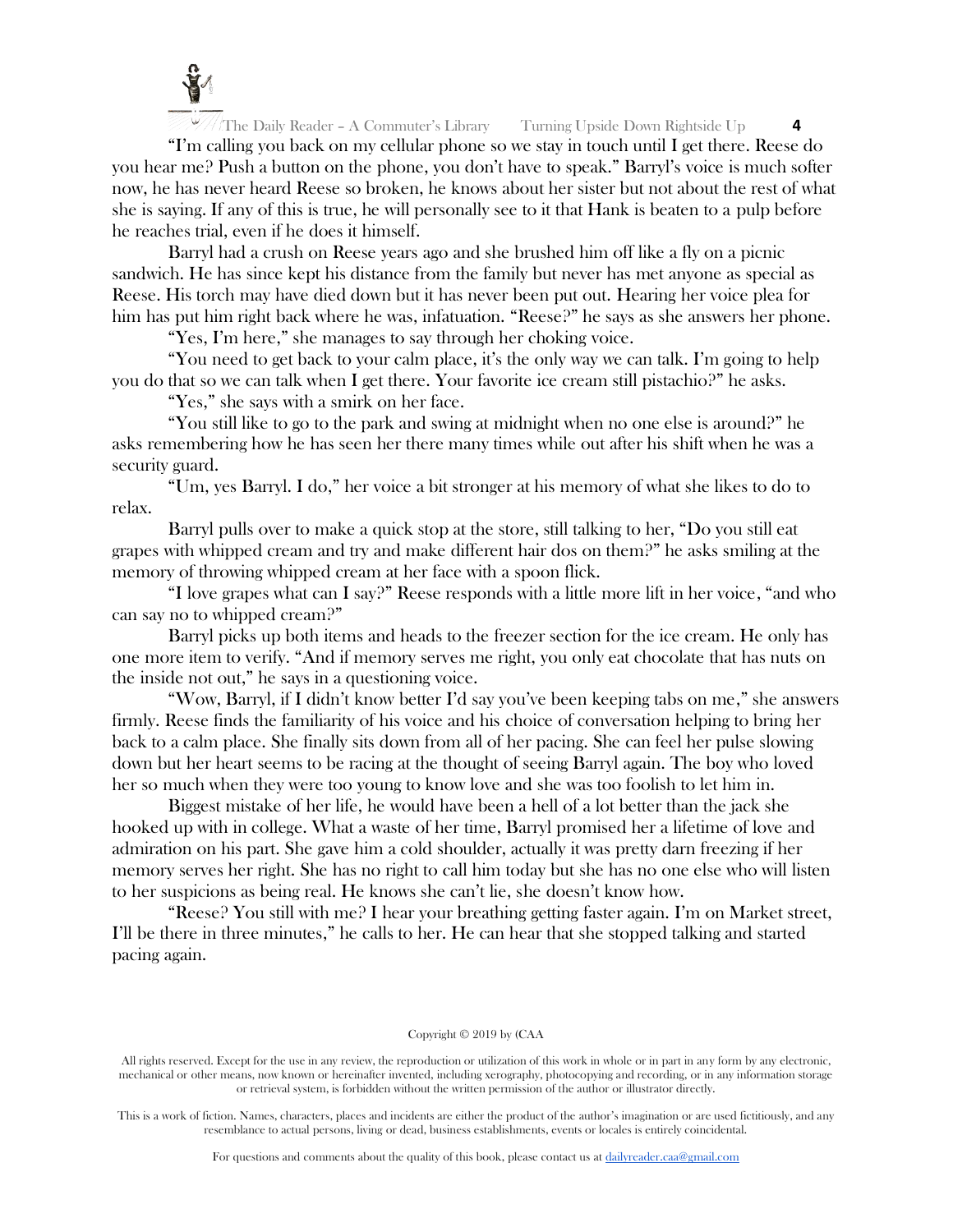

"I'm calling you back on my cellular phone so we stay in touch until I get there. Reese do you hear me? Push a button on the phone, you don't have to speak." Barryl's voice is much softer now, he has never heard Reese so broken, he knows about her sister but not about the rest of what she is saying. If any of this is true, he will personally see to it that Hank is beaten to a pulp before he reaches trial, even if he does it himself.

Barryl had a crush on Reese years ago and she brushed him off like a fly on a picnic sandwich. He has since kept his distance from the family but never has met anyone as special as Reese. His torch may have died down but it has never been put out. Hearing her voice plea for him has put him right back where he was, infatuation. "Reese?" he says as she answers her phone.

"Yes, I'm here," she manages to say through her choking voice.

"You need to get back to your calm place, it's the only way we can talk. I'm going to help you do that so we can talk when I get there. Your favorite ice cream still pistachio?" he asks.

"Yes," she says with a smirk on her face.

"You still like to go to the park and swing at midnight when no one else is around?" he asks remembering how he has seen her there many times while out after his shift when he was a security guard.

"Um, yes Barryl. I do," her voice a bit stronger at his memory of what she likes to do to relax.

Barryl pulls over to make a quick stop at the store, still talking to her, "Do you still eat grapes with whipped cream and try and make different hair dos on them?" he asks smiling at the memory of throwing whipped cream at her face with a spoon flick.

"I love grapes what can I say?" Reese responds with a little more lift in her voice, "and who can say no to whipped cream?"

Barryl picks up both items and heads to the freezer section for the ice cream. He only has one more item to verify. "And if memory serves me right, you only eat chocolate that has nuts on the inside not out," he says in a questioning voice.

"Wow, Barryl, if I didn't know better I'd say you've been keeping tabs on me," she answers firmly. Reese finds the familiarity of his voice and his choice of conversation helping to bring her back to a calm place. She finally sits down from all of her pacing. She can feel her pulse slowing down but her heart seems to be racing at the thought of seeing Barryl again. The boy who loved her so much when they were too young to know love and she was too foolish to let him in.

Biggest mistake of her life, he would have been a hell of a lot better than the jack she hooked up with in college. What a waste of her time, Barryl promised her a lifetime of love and admiration on his part. She gave him a cold shoulder, actually it was pretty darn freezing if her memory serves her right. She has no right to call him today but she has no one else who will listen to her suspicions as being real. He knows she can't lie, she doesn't know how.

"Reese? You still with me? I hear your breathing getting faster again. I'm on Market street, I'll be there in three minutes," he calls to her. He can hear that she stopped talking and started pacing again.

## Copyright © 2019 by (CAA

All rights reserved. Except for the use in any review, the reproduction or utilization of this work in whole or in part in any form by any electronic, mechanical or other means, now known or hereinafter invented, including xerography, photocopying and recording, or in any information storage or retrieval system, is forbidden without the written permission of the author or illustrator directly.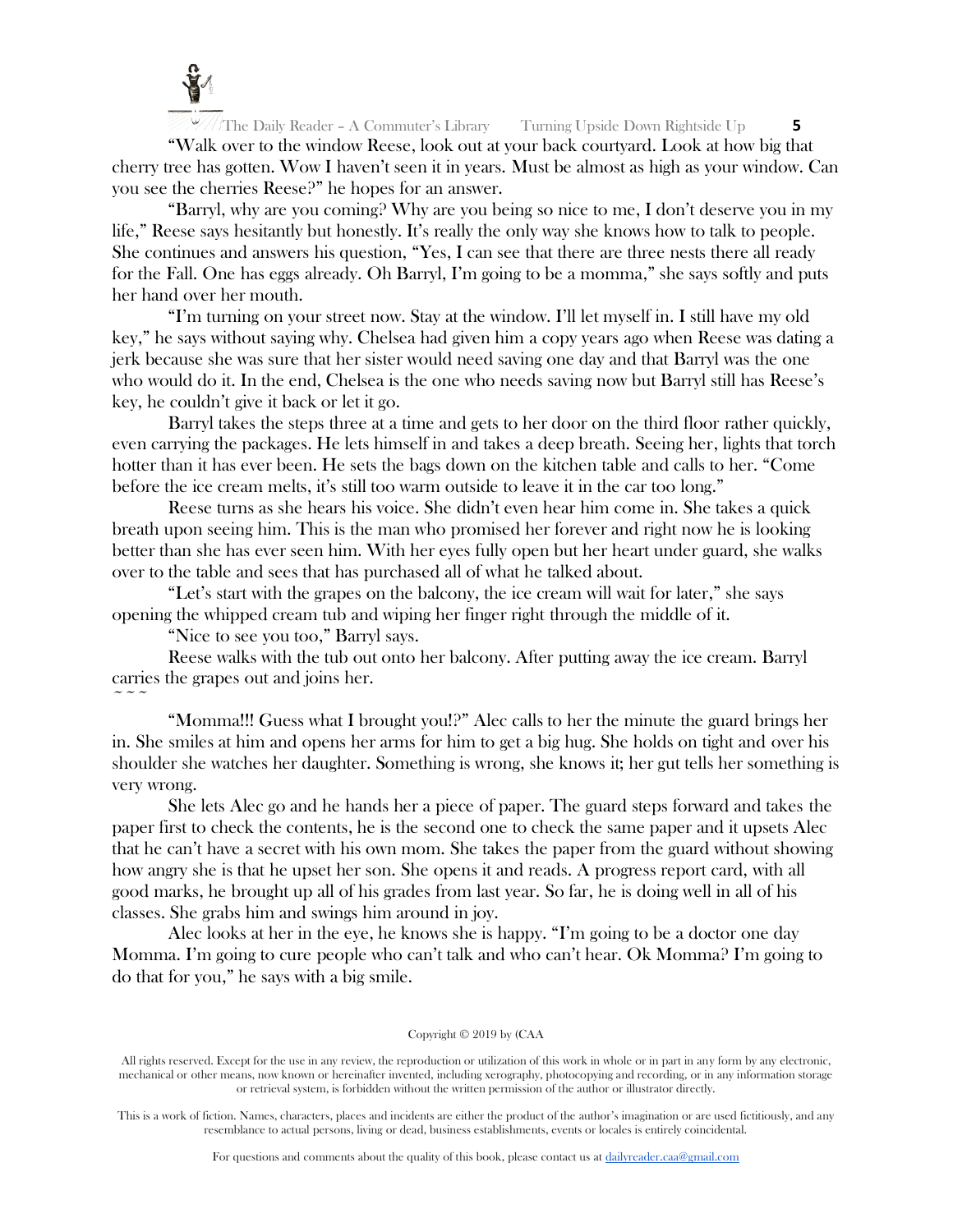

"Walk over to the window Reese, look out at your back courtyard. Look at how big that cherry tree has gotten. Wow I haven't seen it in years. Must be almost as high as your window. Can you see the cherries Reese?" he hopes for an answer.

"Barryl, why are you coming? Why are you being so nice to me, I don't deserve you in my life," Reese says hesitantly but honestly. It's really the only way she knows how to talk to people. She continues and answers his question, "Yes, I can see that there are three nests there all ready for the Fall. One has eggs already. Oh Barryl, I'm going to be a momma," she says softly and puts her hand over her mouth.

"I'm turning on your street now. Stay at the window. I'll let myself in. I still have my old key," he says without saying why. Chelsea had given him a copy years ago when Reese was dating a jerk because she was sure that her sister would need saving one day and that Barryl was the one who would do it. In the end, Chelsea is the one who needs saving now but Barryl still has Reese's key, he couldn't give it back or let it go.

Barryl takes the steps three at a time and gets to her door on the third floor rather quickly, even carrying the packages. He lets himself in and takes a deep breath. Seeing her, lights that torch hotter than it has ever been. He sets the bags down on the kitchen table and calls to her. "Come before the ice cream melts, it's still too warm outside to leave it in the car too long."

Reese turns as she hears his voice. She didn't even hear him come in. She takes a quick breath upon seeing him. This is the man who promised her forever and right now he is looking better than she has ever seen him. With her eyes fully open but her heart under guard, she walks over to the table and sees that has purchased all of what he talked about.

"Let's start with the grapes on the balcony, the ice cream will wait for later," she says opening the whipped cream tub and wiping her finger right through the middle of it.

"Nice to see you too," Barryl says.

Reese walks with the tub out onto her balcony. After putting away the ice cream. Barryl carries the grapes out and joins her.

 $\sim$   $\sim$   $\sim$ 

"Momma!!! Guess what I brought you!?" Alec calls to her the minute the guard brings her in. She smiles at him and opens her arms for him to get a big hug. She holds on tight and over his shoulder she watches her daughter. Something is wrong, she knows it; her gut tells her something is very wrong.

She lets Alec go and he hands her a piece of paper. The guard steps forward and takes the paper first to check the contents, he is the second one to check the same paper and it upsets Alec that he can't have a secret with his own mom. She takes the paper from the guard without showing how angry she is that he upset her son. She opens it and reads. A progress report card, with all good marks, he brought up all of his grades from last year. So far, he is doing well in all of his classes. She grabs him and swings him around in joy.

Alec looks at her in the eye, he knows she is happy. "I'm going to be a doctor one day Momma. I'm going to cure people who can't talk and who can't hear. Ok Momma? I'm going to do that for you," he says with a big smile.

## Copyright © 2019 by (CAA

All rights reserved. Except for the use in any review, the reproduction or utilization of this work in whole or in part in any form by any electronic, mechanical or other means, now known or hereinafter invented, including xerography, photocopying and recording, or in any information storage or retrieval system, is forbidden without the written permission of the author or illustrator directly.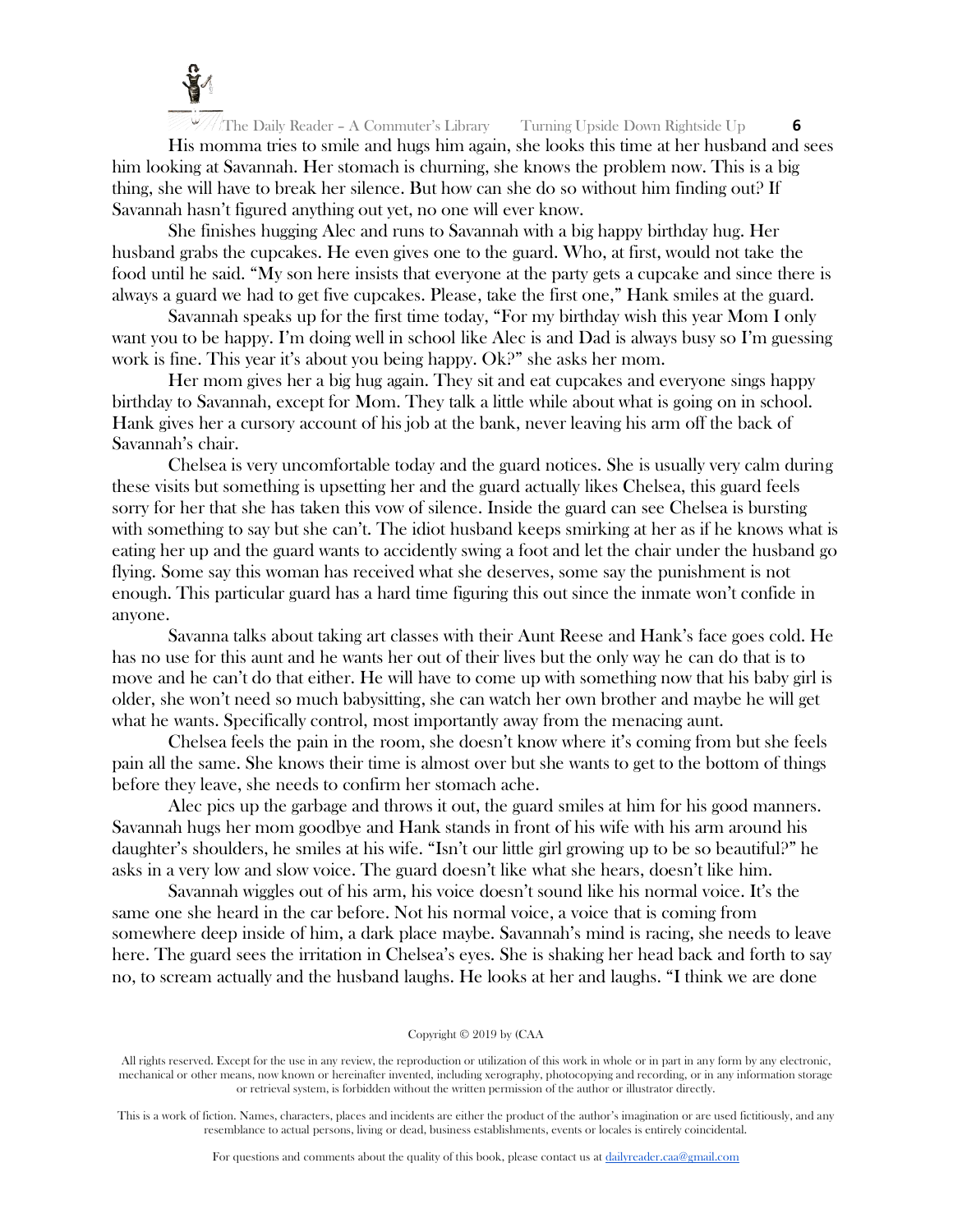

His momma tries to smile and hugs him again, she looks this time at her husband and sees him looking at Savannah. Her stomach is churning, she knows the problem now. This is a big thing, she will have to break her silence. But how can she do so without him finding out? If Savannah hasn't figured anything out yet, no one will ever know.

She finishes hugging Alec and runs to Savannah with a big happy birthday hug. Her husband grabs the cupcakes. He even gives one to the guard. Who, at first, would not take the food until he said. "My son here insists that everyone at the party gets a cupcake and since there is always a guard we had to get five cupcakes. Please, take the first one," Hank smiles at the guard.

Savannah speaks up for the first time today, "For my birthday wish this year Mom I only want you to be happy. I'm doing well in school like Alec is and Dad is always busy so I'm guessing work is fine. This year it's about you being happy. Ok?" she asks her mom.

Her mom gives her a big hug again. They sit and eat cupcakes and everyone sings happy birthday to Savannah, except for Mom. They talk a little while about what is going on in school. Hank gives her a cursory account of his job at the bank, never leaving his arm off the back of Savannah's chair.

Chelsea is very uncomfortable today and the guard notices. She is usually very calm during these visits but something is upsetting her and the guard actually likes Chelsea, this guard feels sorry for her that she has taken this vow of silence. Inside the guard can see Chelsea is bursting with something to say but she can't. The idiot husband keeps smirking at her as if he knows what is eating her up and the guard wants to accidently swing a foot and let the chair under the husband go flying. Some say this woman has received what she deserves, some say the punishment is not enough. This particular guard has a hard time figuring this out since the inmate won't confide in anyone.

Savanna talks about taking art classes with their Aunt Reese and Hank's face goes cold. He has no use for this aunt and he wants her out of their lives but the only way he can do that is to move and he can't do that either. He will have to come up with something now that his baby girl is older, she won't need so much babysitting, she can watch her own brother and maybe he will get what he wants. Specifically control, most importantly away from the menacing aunt.

Chelsea feels the pain in the room, she doesn't know where it's coming from but she feels pain all the same. She knows their time is almost over but she wants to get to the bottom of things before they leave, she needs to confirm her stomach ache.

Alec pics up the garbage and throws it out, the guard smiles at him for his good manners. Savannah hugs her mom goodbye and Hank stands in front of his wife with his arm around his daughter's shoulders, he smiles at his wife. "Isn't our little girl growing up to be so beautiful?" he asks in a very low and slow voice. The guard doesn't like what she hears, doesn't like him.

Savannah wiggles out of his arm, his voice doesn't sound like his normal voice. It's the same one she heard in the car before. Not his normal voice, a voice that is coming from somewhere deep inside of him, a dark place maybe. Savannah's mind is racing, she needs to leave here. The guard sees the irritation in Chelsea's eyes. She is shaking her head back and forth to say no, to scream actually and the husband laughs. He looks at her and laughs. "I think we are done

#### Copyright © 2019 by (CAA

All rights reserved. Except for the use in any review, the reproduction or utilization of this work in whole or in part in any form by any electronic, mechanical or other means, now known or hereinafter invented, including xerography, photocopying and recording, or in any information storage or retrieval system, is forbidden without the written permission of the author or illustrator directly.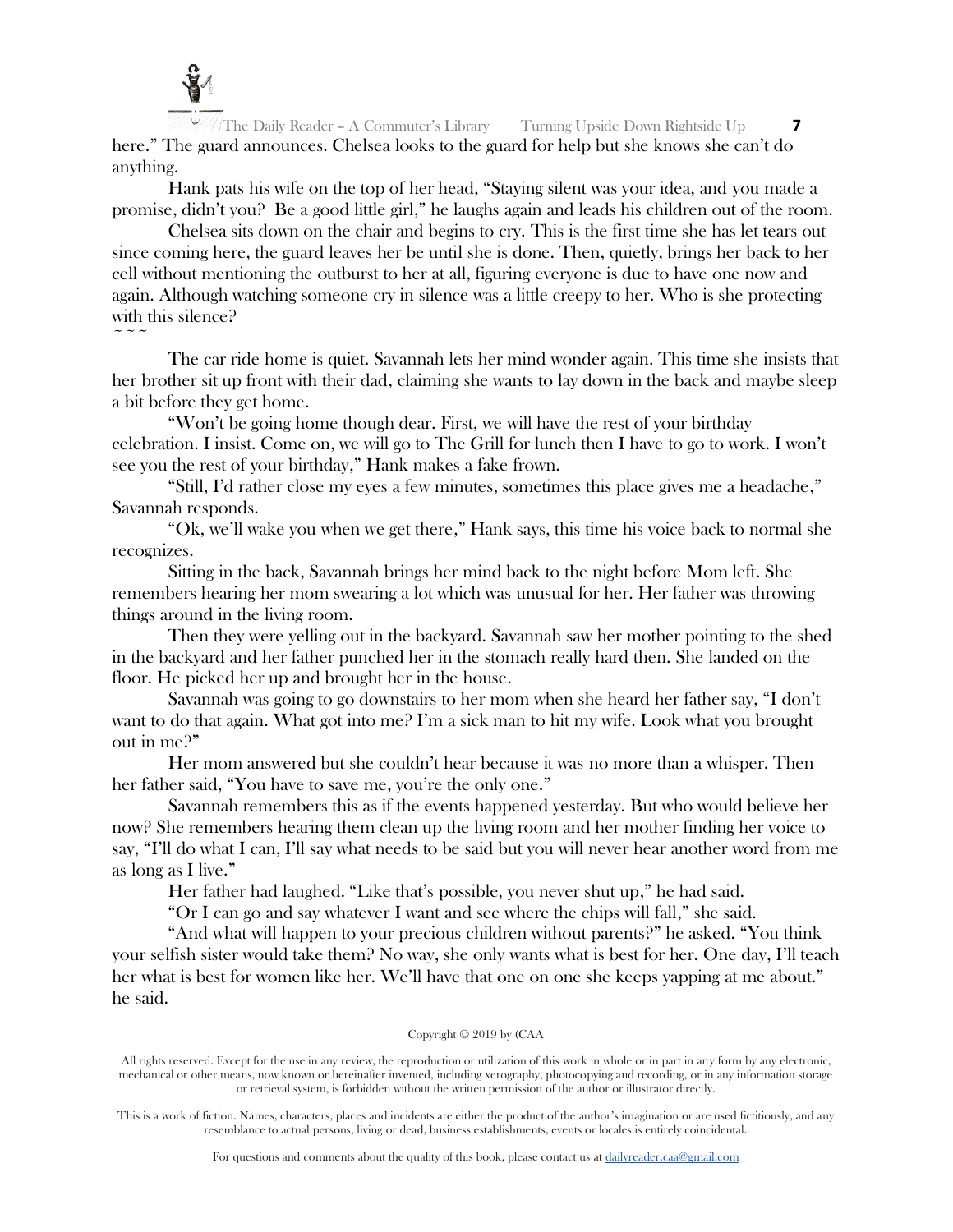

The Daily Reader – A Commuter's Library Turning Upside Down Rightside Up **7** here." The guard announces. Chelsea looks to the guard for help but she knows she can't do anything.

Hank pats his wife on the top of her head, "Staying silent was your idea, and you made a promise, didn't you? Be a good little girl," he laughs again and leads his children out of the room.

Chelsea sits down on the chair and begins to cry. This is the first time she has let tears out since coming here, the guard leaves her be until she is done. Then, quietly, brings her back to her cell without mentioning the outburst to her at all, figuring everyone is due to have one now and again. Although watching someone cry in silence was a little creepy to her. Who is she protecting with this silence?  $\sim$   $\sim$   $\sim$ 

The car ride home is quiet. Savannah lets her mind wonder again. This time she insists that her brother sit up front with their dad, claiming she wants to lay down in the back and maybe sleep a bit before they get home.

"Won't be going home though dear. First, we will have the rest of your birthday celebration. I insist. Come on, we will go to The Grill for lunch then I have to go to work. I won't see you the rest of your birthday," Hank makes a fake frown.

"Still, I'd rather close my eyes a few minutes, sometimes this place gives me a headache," Savannah responds.

"Ok, we'll wake you when we get there," Hank says, this time his voice back to normal she recognizes.

Sitting in the back, Savannah brings her mind back to the night before Mom left. She remembers hearing her mom swearing a lot which was unusual for her. Her father was throwing things around in the living room.

Then they were yelling out in the backyard. Savannah saw her mother pointing to the shed in the backyard and her father punched her in the stomach really hard then. She landed on the floor. He picked her up and brought her in the house.

Savannah was going to go downstairs to her mom when she heard her father say, "I don't want to do that again. What got into me? I'm a sick man to hit my wife. Look what you brought out in me?"

Her mom answered but she couldn't hear because it was no more than a whisper. Then her father said, "You have to save me, you're the only one."

Savannah remembers this as if the events happened yesterday. But who would believe her now? She remembers hearing them clean up the living room and her mother finding her voice to say, "I'll do what I can, I'll say what needs to be said but you will never hear another word from me as long as I live."

Her father had laughed. "Like that's possible, you never shut up," he had said.

"Or I can go and say whatever I want and see where the chips will fall," she said.

"And what will happen to your precious children without parents?" he asked. "You think your selfish sister would take them? No way, she only wants what is best for her. One day, I'll teach her what is best for women like her. We'll have that one on one she keeps yapping at me about." he said.

## Copyright © 2019 by (CAA

All rights reserved. Except for the use in any review, the reproduction or utilization of this work in whole or in part in any form by any electronic, mechanical or other means, now known or hereinafter invented, including xerography, photocopying and recording, or in any information storage or retrieval system, is forbidden without the written permission of the author or illustrator directly.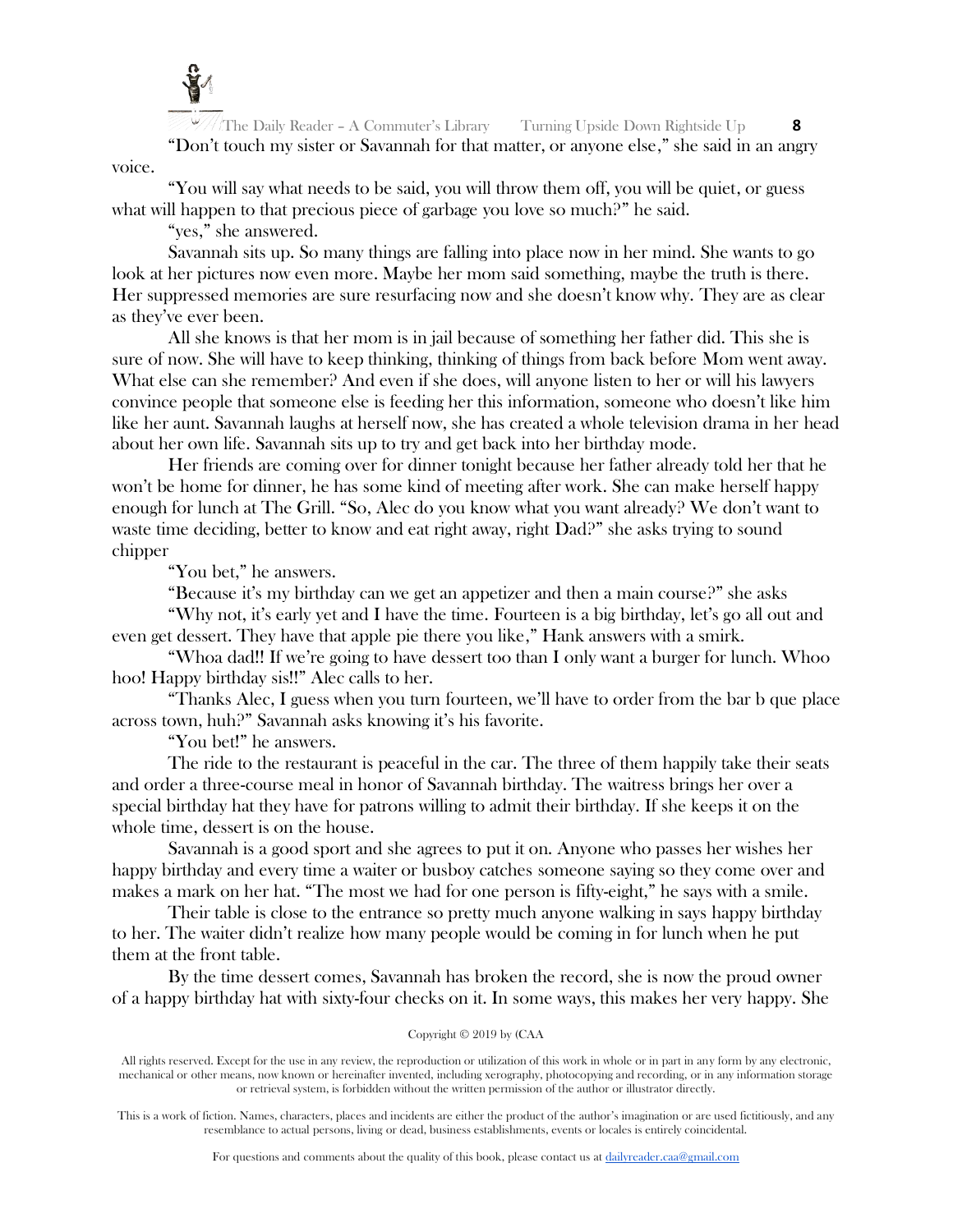

The Daily Reader – A Commuter's Library Turning Upside Down Rightside Up **8** "Don't touch my sister or Savannah for that matter, or anyone else," she said in an angry voice.

"You will say what needs to be said, you will throw them off, you will be quiet, or guess what will happen to that precious piece of garbage you love so much?" he said.

"yes," she answered.

Savannah sits up. So many things are falling into place now in her mind. She wants to go look at her pictures now even more. Maybe her mom said something, maybe the truth is there. Her suppressed memories are sure resurfacing now and she doesn't know why. They are as clear as they've ever been.

All she knows is that her mom is in jail because of something her father did. This she is sure of now. She will have to keep thinking, thinking of things from back before Mom went away. What else can she remember? And even if she does, will anyone listen to her or will his lawyers convince people that someone else is feeding her this information, someone who doesn't like him like her aunt. Savannah laughs at herself now, she has created a whole television drama in her head about her own life. Savannah sits up to try and get back into her birthday mode.

Her friends are coming over for dinner tonight because her father already told her that he won't be home for dinner, he has some kind of meeting after work. She can make herself happy enough for lunch at The Grill. "So, Alec do you know what you want already? We don't want to waste time deciding, better to know and eat right away, right Dad?" she asks trying to sound chipper

"You bet," he answers.

"Because it's my birthday can we get an appetizer and then a main course?" she asks "Why not, it's early yet and I have the time. Fourteen is a big birthday, let's go all out and even get dessert. They have that apple pie there you like," Hank answers with a smirk.

"Whoa dad!! If we're going to have dessert too than I only want a burger for lunch. Whoo hoo! Happy birthday sis!!" Alec calls to her.

"Thanks Alec, I guess when you turn fourteen, we'll have to order from the bar b que place across town, huh?" Savannah asks knowing it's his favorite.

"You bet!" he answers.

The ride to the restaurant is peaceful in the car. The three of them happily take their seats and order a three-course meal in honor of Savannah birthday. The waitress brings her over a special birthday hat they have for patrons willing to admit their birthday. If she keeps it on the whole time, dessert is on the house.

Savannah is a good sport and she agrees to put it on. Anyone who passes her wishes her happy birthday and every time a waiter or busboy catches someone saying so they come over and makes a mark on her hat. "The most we had for one person is fifty-eight," he says with a smile.

Their table is close to the entrance so pretty much anyone walking in says happy birthday to her. The waiter didn't realize how many people would be coming in for lunch when he put them at the front table.

By the time dessert comes, Savannah has broken the record, she is now the proud owner of a happy birthday hat with sixty-four checks on it. In some ways, this makes her very happy. She

## Copyright © 2019 by (CAA

All rights reserved. Except for the use in any review, the reproduction or utilization of this work in whole or in part in any form by any electronic, mechanical or other means, now known or hereinafter invented, including xerography, photocopying and recording, or in any information storage or retrieval system, is forbidden without the written permission of the author or illustrator directly.

This is a work of fiction. Names, characters, places and incidents are either the product of the author's imagination or are used fictitiously, and any resemblance to actual persons, living or dead, business establishments, events or locales is entirely coincidental.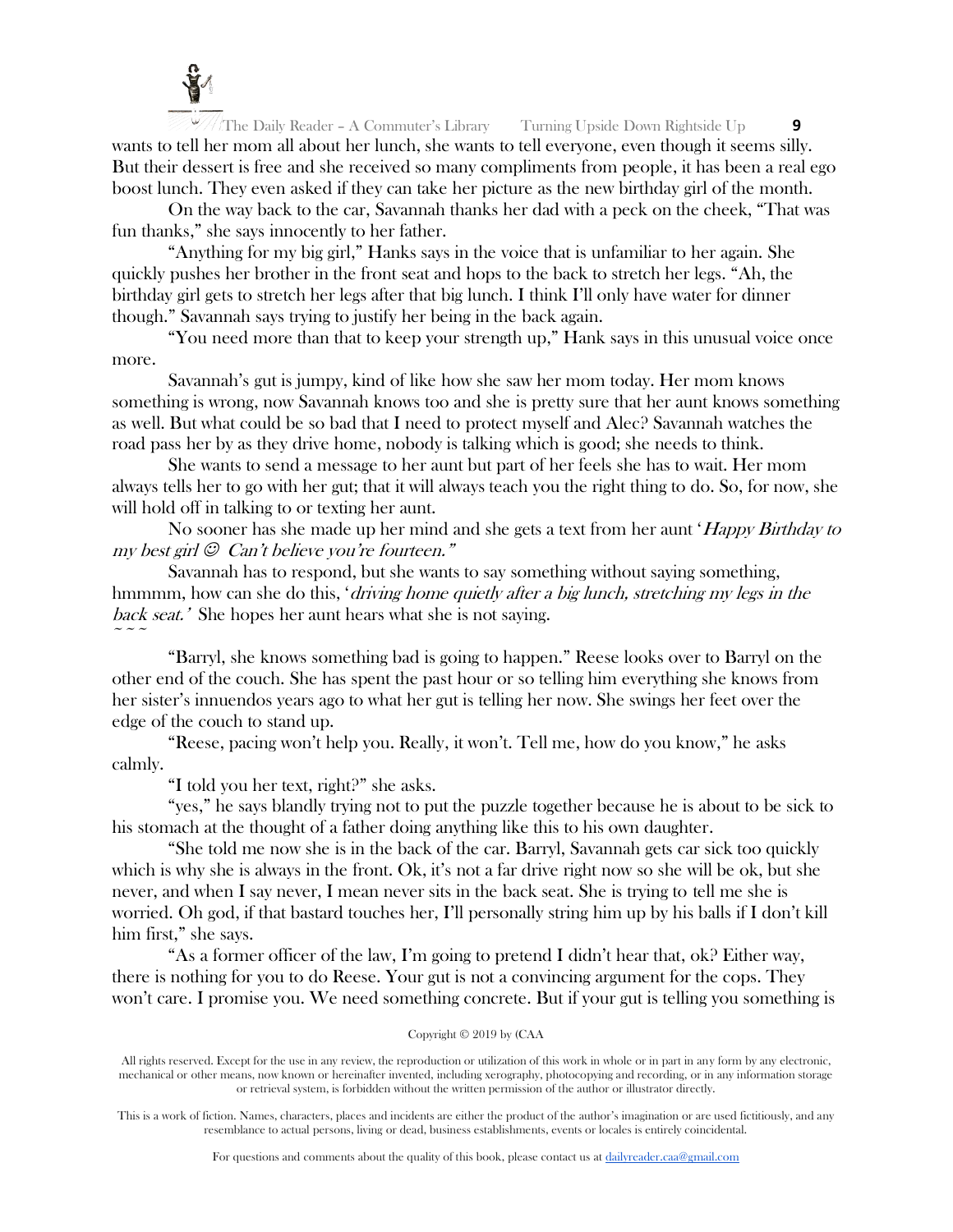

The Daily Reader – A Commuter's Library Turning Upside Down Rightside Up **9** wants to tell her mom all about her lunch, she wants to tell everyone, even though it seems silly. But their dessert is free and she received so many compliments from people, it has been a real ego boost lunch. They even asked if they can take her picture as the new birthday girl of the month.

On the way back to the car, Savannah thanks her dad with a peck on the cheek, "That was fun thanks," she says innocently to her father.

"Anything for my big girl," Hanks says in the voice that is unfamiliar to her again. She quickly pushes her brother in the front seat and hops to the back to stretch her legs. "Ah, the birthday girl gets to stretch her legs after that big lunch. I think I'll only have water for dinner though." Savannah says trying to justify her being in the back again.

"You need more than that to keep your strength up," Hank says in this unusual voice once more.

Savannah's gut is jumpy, kind of like how she saw her mom today. Her mom knows something is wrong, now Savannah knows too and she is pretty sure that her aunt knows something as well. But what could be so bad that I need to protect myself and Alec? Savannah watches the road pass her by as they drive home, nobody is talking which is good; she needs to think.

She wants to send a message to her aunt but part of her feels she has to wait. Her mom always tells her to go with her gut; that it will always teach you the right thing to do. So, for now, she will hold off in talking to or texting her aunt.

No sooner has she made up her mind and she gets a text from her aunt 'Happy Birthday to  $m\nu$  best girl  $\odot$  Can't believe you're fourteen."

Savannah has to respond, but she wants to say something without saying something, hmmmm, how can she do this, '*driving home quietly after a big lunch*, *stretching my legs in the* back seat.' She hopes her aunt hears what she is not saying.  $\sim$   $\sim$   $\sim$ 

"Barryl, she knows something bad is going to happen." Reese looks over to Barryl on the other end of the couch. She has spent the past hour or so telling him everything she knows from her sister's innuendos years ago to what her gut is telling her now. She swings her feet over the edge of the couch to stand up.

"Reese, pacing won't help you. Really, it won't. Tell me, how do you know," he asks calmly.

"I told you her text, right?" she asks.

"yes," he says blandly trying not to put the puzzle together because he is about to be sick to his stomach at the thought of a father doing anything like this to his own daughter.

"She told me now she is in the back of the car. Barryl, Savannah gets car sick too quickly which is why she is always in the front. Ok, it's not a far drive right now so she will be ok, but she never, and when I say never, I mean never sits in the back seat. She is trying to tell me she is worried. Oh god, if that bastard touches her, I'll personally string him up by his balls if I don't kill him first," she says.

"As a former officer of the law, I'm going to pretend I didn't hear that,  $\alpha k^p$  Either way, there is nothing for you to do Reese. Your gut is not a convincing argument for the cops. They won't care. I promise you. We need something concrete. But if your gut is telling you something is

#### Copyright © 2019 by (CAA

All rights reserved. Except for the use in any review, the reproduction or utilization of this work in whole or in part in any form by any electronic, mechanical or other means, now known or hereinafter invented, including xerography, photocopying and recording, or in any information storage or retrieval system, is forbidden without the written permission of the author or illustrator directly.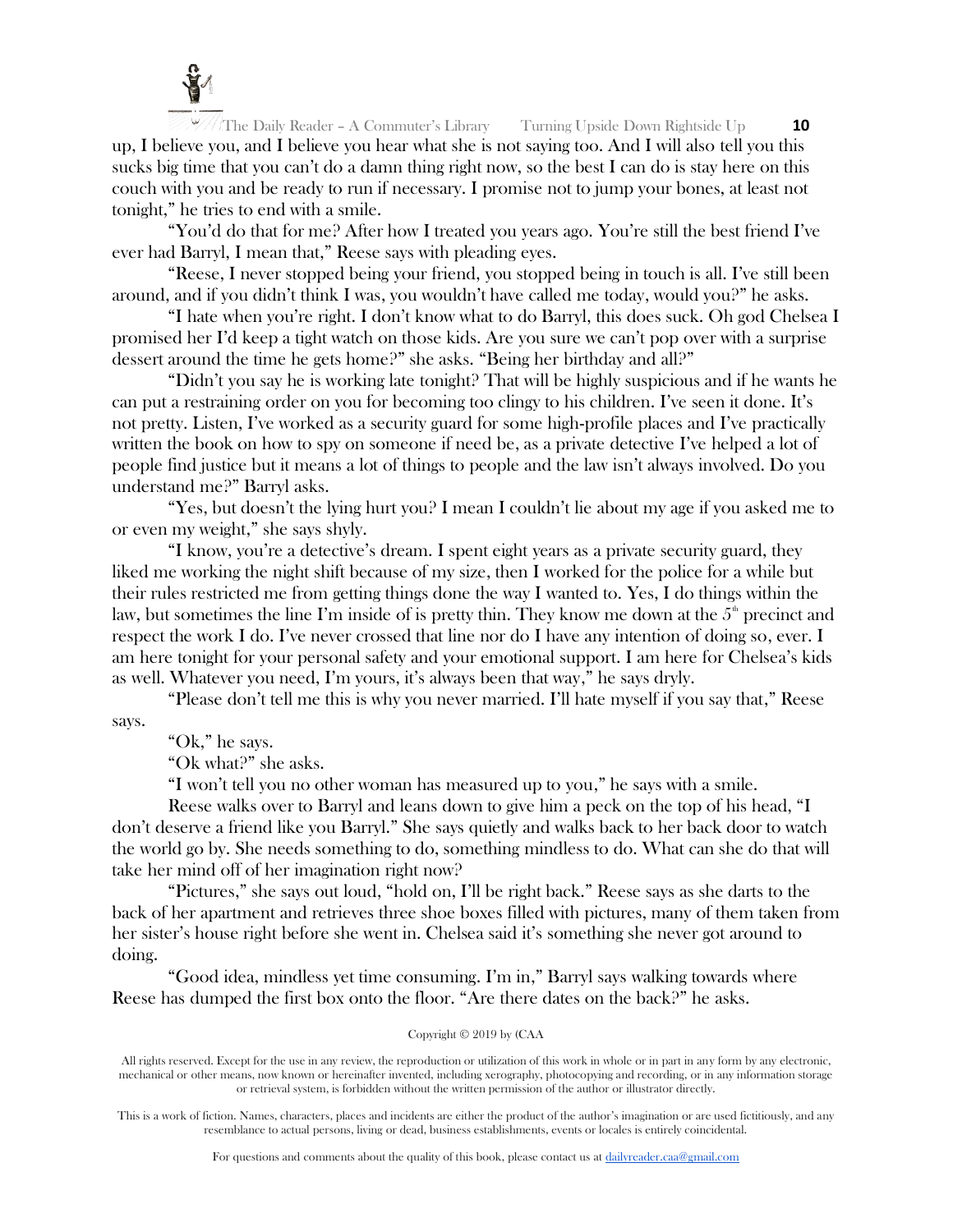

The Daily Reader – A Commuter's Library Turning Upside Down Rightside Up **10** up, I believe you, and I believe you hear what she is not saying too. And I will also tell you this sucks big time that you can't do a damn thing right now, so the best I can do is stay here on this couch with you and be ready to run if necessary. I promise not to jump your bones, at least not tonight," he tries to end with a smile.

"You'd do that for me? After how I treated you years ago. You're still the best friend I've ever had Barryl, I mean that," Reese says with pleading eyes.

"Reese, I never stopped being your friend, you stopped being in touch is all. I've still been around, and if you didn't think I was, you wouldn't have called me today, would you?" he asks.

"I hate when you're right. I don't know what to do Barryl, this does suck. Oh god Chelsea I promised her I'd keep a tight watch on those kids. Are you sure we can't pop over with a surprise dessert around the time he gets home?" she asks. "Being her birthday and all?"

"Didn't you say he is working late tonight? That will be highly suspicious and if he wants he can put a restraining order on you for becoming too clingy to his children. I've seen it done. It's not pretty. Listen, I've worked as a security guard for some high-profile places and I've practically written the book on how to spy on someone if need be, as a private detective I've helped a lot of people find justice but it means a lot of things to people and the law isn't always involved. Do you understand me?" Barryl asks.

"Yes, but doesn't the lying hurt you? I mean I couldn't lie about my age if you asked me to or even my weight," she says shyly.

"I know, you're a detective's dream. I spent eight years as a private security guard, they liked me working the night shift because of my size, then I worked for the police for a while but their rules restricted me from getting things done the way I wanted to. Yes, I do things within the law, but sometimes the line I'm inside of is pretty thin. They know me down at the  $5<sup>th</sup>$  precinct and respect the work I do. I've never crossed that line nor do I have any intention of doing so, ever. I am here tonight for your personal safety and your emotional support. I am here for Chelsea's kids as well. Whatever you need, I'm yours, it's always been that way," he says dryly.

"Please don't tell me this is why you never married. I'll hate myself if you say that," Reese

says.

"Ok," he says.

"Ok what?" she asks.

"I won't tell you no other woman has measured up to you," he says with a smile.

Reese walks over to Barryl and leans down to give him a peck on the top of his head, "I don't deserve a friend like you Barryl." She says quietly and walks back to her back door to watch the world go by. She needs something to do, something mindless to do. What can she do that will take her mind off of her imagination right now?

"Pictures," she says out loud, "hold on, I'll be right back." Reese says as she darts to the back of her apartment and retrieves three shoe boxes filled with pictures, many of them taken from her sister's house right before she went in. Chelsea said it's something she never got around to doing.

"Good idea, mindless yet time consuming. I'm in," Barryl says walking towards where Reese has dumped the first box onto the floor. "Are there dates on the back?" he asks.

## Copyright © 2019 by (CAA

All rights reserved. Except for the use in any review, the reproduction or utilization of this work in whole or in part in any form by any electronic, mechanical or other means, now known or hereinafter invented, including xerography, photocopying and recording, or in any information storage or retrieval system, is forbidden without the written permission of the author or illustrator directly.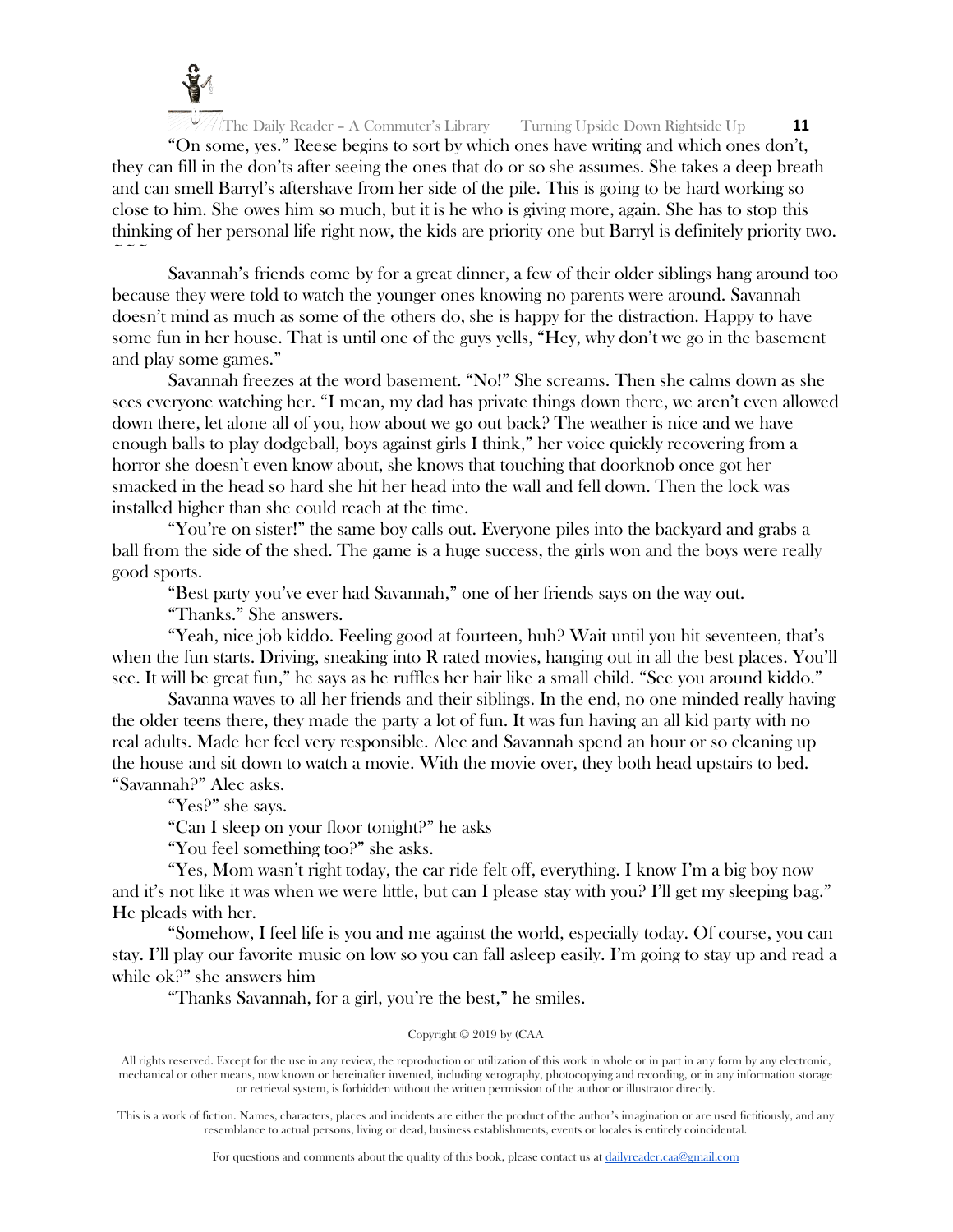

"On some, yes." Reese begins to sort by which ones have writing and which ones don't, they can fill in the don'ts after seeing the ones that do or so she assumes. She takes a deep breath and can smell Barryl's aftershave from her side of the pile. This is going to be hard working so close to him. She owes him so much, but it is he who is giving more, again. She has to stop this thinking of her personal life right now, the kids are priority one but Barryl is definitely priority two.  $\sim$   $\sim$   $\sim$ 

Savannah's friends come by for a great dinner, a few of their older siblings hang around too because they were told to watch the younger ones knowing no parents were around. Savannah doesn't mind as much as some of the others do, she is happy for the distraction. Happy to have some fun in her house. That is until one of the guys yells, "Hey, why don't we go in the basement and play some games."

Savannah freezes at the word basement. "No!" She screams. Then she calms down as she sees everyone watching her. "I mean, my dad has private things down there, we aren't even allowed down there, let alone all of you, how about we go out back? The weather is nice and we have enough balls to play dodgeball, boys against girls I think," her voice quickly recovering from a horror she doesn't even know about, she knows that touching that doorknob once got her smacked in the head so hard she hit her head into the wall and fell down. Then the lock was installed higher than she could reach at the time.

"You're on sister!" the same boy calls out. Everyone piles into the backyard and grabs a ball from the side of the shed. The game is a huge success, the girls won and the boys were really good sports.

"Best party you've ever had Savannah," one of her friends says on the way out.

"Thanks." She answers.

"Yeah, nice job kiddo. Feeling good at fourteen, huh? Wait until you hit seventeen, that's when the fun starts. Driving, sneaking into R rated movies, hanging out in all the best places. You'll see. It will be great fun," he says as he ruffles her hair like a small child. "See you around kiddo."

Savanna waves to all her friends and their siblings. In the end, no one minded really having the older teens there, they made the party a lot of fun. It was fun having an all kid party with no real adults. Made her feel very responsible. Alec and Savannah spend an hour or so cleaning up the house and sit down to watch a movie. With the movie over, they both head upstairs to bed. "Savannah?" Alec asks.

"Yes?" she says.

"Can I sleep on your floor tonight?" he asks

"You feel something too?" she asks.

"Yes, Mom wasn't right today, the car ride felt off, everything. I know I'm a big boy now and it's not like it was when we were little, but can I please stay with you? I'll get my sleeping bag." He pleads with her.

"Somehow, I feel life is you and me against the world, especially today. Of course, you can stay. I'll play our favorite music on low so you can fall asleep easily. I'm going to stay up and read a while ok?" she answers him

"Thanks Savannah, for a girl, you're the best," he smiles.

# Copyright © 2019 by (CAA

All rights reserved. Except for the use in any review, the reproduction or utilization of this work in whole or in part in any form by any electronic, mechanical or other means, now known or hereinafter invented, including xerography, photocopying and recording, or in any information storage or retrieval system, is forbidden without the written permission of the author or illustrator directly.

This is a work of fiction. Names, characters, places and incidents are either the product of the author's imagination or are used fictitiously, and any resemblance to actual persons, living or dead, business establishments, events or locales is entirely coincidental.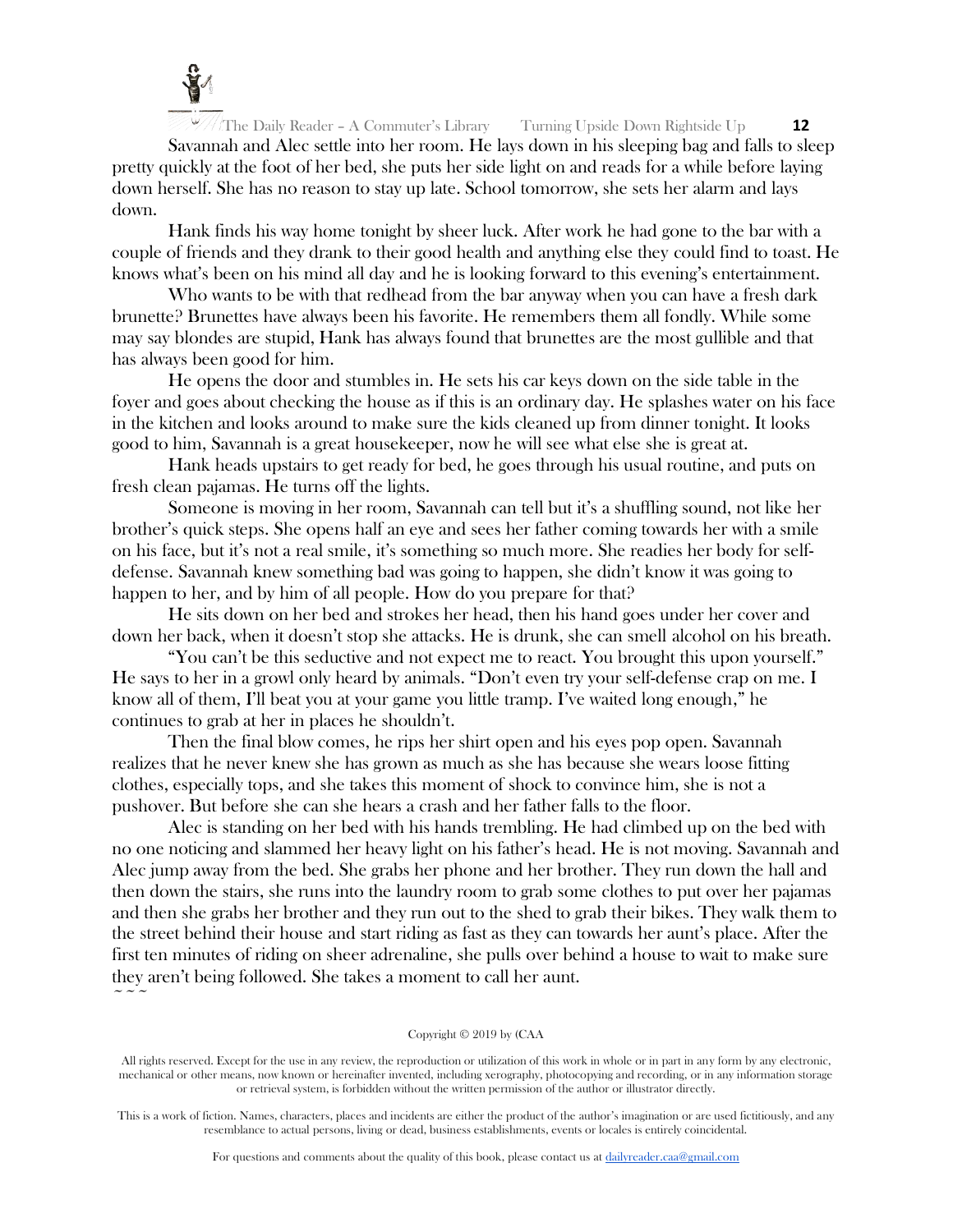

 $\sim$   $\sim$   $\sim$ 

The Daily Reader – A Commuter's Library Turning Upside Down Rightside Up **12**

Savannah and Alec settle into her room. He lays down in his sleeping bag and falls to sleep pretty quickly at the foot of her bed, she puts her side light on and reads for a while before laying down herself. She has no reason to stay up late. School tomorrow, she sets her alarm and lays down.

Hank finds his way home tonight by sheer luck. After work he had gone to the bar with a couple of friends and they drank to their good health and anything else they could find to toast. He knows what's been on his mind all day and he is looking forward to this evening's entertainment.

Who wants to be with that redhead from the bar anyway when you can have a fresh dark brunette? Brunettes have always been his favorite. He remembers them all fondly. While some may say blondes are stupid, Hank has always found that brunettes are the most gullible and that has always been good for him.

He opens the door and stumbles in. He sets his car keys down on the side table in the foyer and goes about checking the house as if this is an ordinary day. He splashes water on his face in the kitchen and looks around to make sure the kids cleaned up from dinner tonight. It looks good to him, Savannah is a great housekeeper, now he will see what else she is great at.

Hank heads upstairs to get ready for bed, he goes through his usual routine, and puts on fresh clean pajamas. He turns off the lights.

Someone is moving in her room, Savannah can tell but it's a shuffling sound, not like her brother's quick steps. She opens half an eye and sees her father coming towards her with a smile on his face, but it's not a real smile, it's something so much more. She readies her body for selfdefense. Savannah knew something bad was going to happen, she didn't know it was going to happen to her, and by him of all people. How do you prepare for that?

He sits down on her bed and strokes her head, then his hand goes under her cover and down her back, when it doesn't stop she attacks. He is drunk, she can smell alcohol on his breath.

"You can't be this seductive and not expect me to react. You brought this upon yourself." He says to her in a growl only heard by animals. "Don't even try your self-defense crap on me. I know all of them, I'll beat you at your game you little tramp. I've waited long enough," he continues to grab at her in places he shouldn't.

Then the final blow comes, he rips her shirt open and his eyes pop open. Savannah realizes that he never knew she has grown as much as she has because she wears loose fitting clothes, especially tops, and she takes this moment of shock to convince him, she is not a pushover. But before she can she hears a crash and her father falls to the floor.

Alec is standing on her bed with his hands trembling. He had climbed up on the bed with no one noticing and slammed her heavy light on his father's head. He is not moving. Savannah and Alec jump away from the bed. She grabs her phone and her brother. They run down the hall and then down the stairs, she runs into the laundry room to grab some clothes to put over her pajamas and then she grabs her brother and they run out to the shed to grab their bikes. They walk them to the street behind their house and start riding as fast as they can towards her aunt's place. After the first ten minutes of riding on sheer adrenaline, she pulls over behind a house to wait to make sure they aren't being followed. She takes a moment to call her aunt.

#### Copyright © 2019 by (CAA

All rights reserved. Except for the use in any review, the reproduction or utilization of this work in whole or in part in any form by any electronic, mechanical or other means, now known or hereinafter invented, including xerography, photocopying and recording, or in any information storage or retrieval system, is forbidden without the written permission of the author or illustrator directly.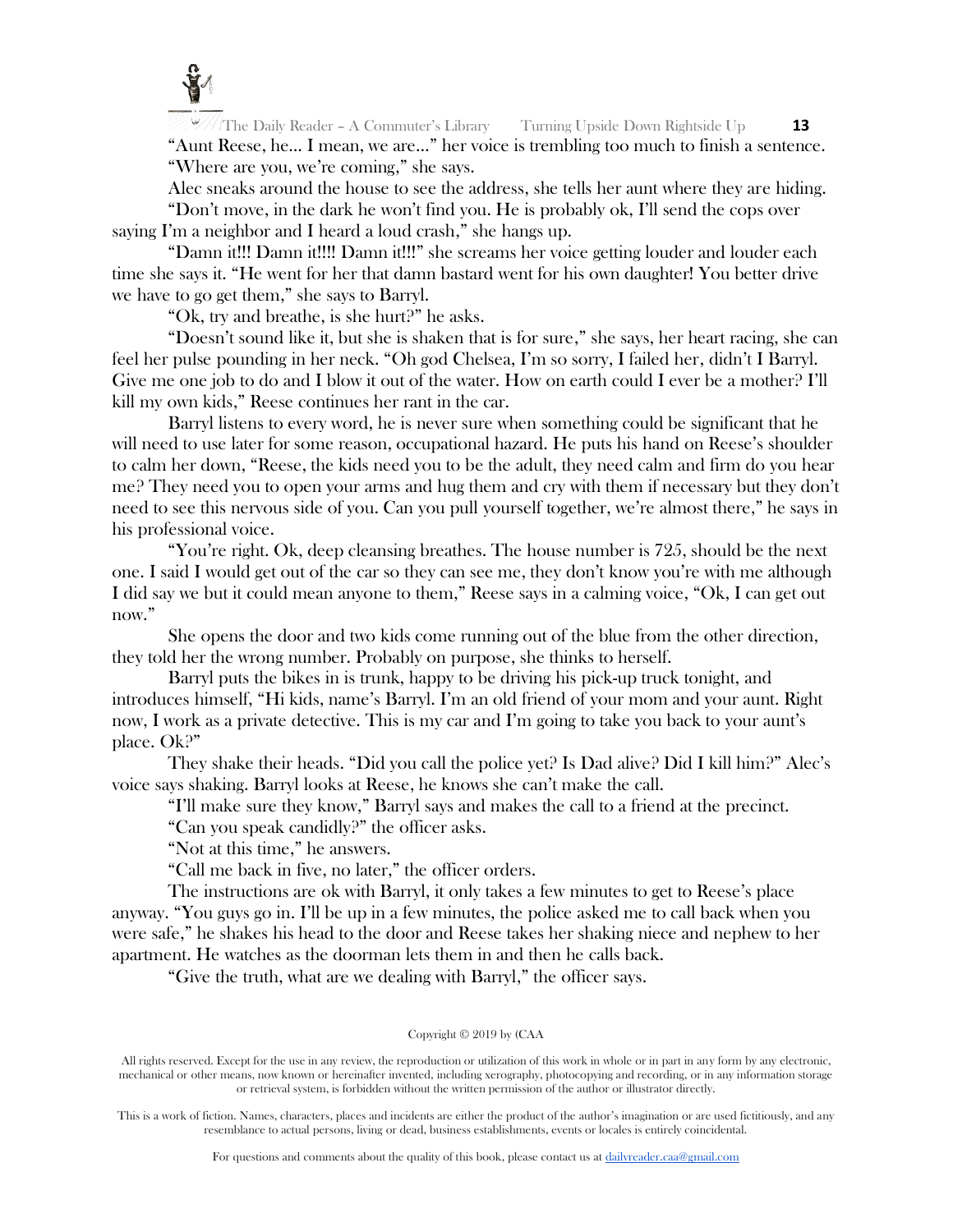

The Daily Reader – A Commuter's Library Turning Upside Down Rightside Up **13** "Aunt Reese, he… I mean, we are…" her voice is trembling too much to finish a sentence. "Where are you, we're coming," she says.

Alec sneaks around the house to see the address, she tells her aunt where they are hiding.

"Don't move, in the dark he won't find you. He is probably ok, I'll send the cops over saying I'm a neighbor and I heard a loud crash," she hangs up.

"Damn it!!! Damn it!!!! Damn it!!!" she screams her voice getting louder and louder each time she says it. "He went for her that damn bastard went for his own daughter! You better drive we have to go get them," she says to Barryl.

"Ok, try and breathe, is she hurt?" he asks.

"Doesn't sound like it, but she is shaken that is for sure," she says, her heart racing, she can feel her pulse pounding in her neck. "Oh god Chelsea, I'm so sorry, I failed her, didn't I Barryl. Give me one job to do and I blow it out of the water. How on earth could I ever be a mother? I'll kill my own kids," Reese continues her rant in the car.

Barryl listens to every word, he is never sure when something could be significant that he will need to use later for some reason, occupational hazard. He puts his hand on Reese's shoulder to calm her down, "Reese, the kids need you to be the adult, they need calm and firm do you hear me? They need you to open your arms and hug them and cry with them if necessary but they don't need to see this nervous side of you. Can you pull yourself together, we're almost there," he says in his professional voice.

"You're right. Ok, deep cleansing breathes. The house number is 725, should be the next one. I said I would get out of the car so they can see me, they don't know you're with me although I did say we but it could mean anyone to them," Reese says in a calming voice, "Ok, I can get out now."

She opens the door and two kids come running out of the blue from the other direction, they told her the wrong number. Probably on purpose, she thinks to herself.

Barryl puts the bikes in is trunk, happy to be driving his pick-up truck tonight, and introduces himself, "Hi kids, name's Barryl. I'm an old friend of your mom and your aunt. Right now, I work as a private detective. This is my car and I'm going to take you back to your aunt's place. Ok?"

They shake their heads. "Did you call the police yet? Is Dad alive? Did I kill him?" Alec's voice says shaking. Barryl looks at Reese, he knows she can't make the call.

"I'll make sure they know," Barryl says and makes the call to a friend at the precinct.

"Can you speak candidly?" the officer asks.

"Not at this time," he answers.

"Call me back in five, no later," the officer orders.

The instructions are ok with Barryl, it only takes a few minutes to get to Reese's place anyway. "You guys go in. I'll be up in a few minutes, the police asked me to call back when you were safe," he shakes his head to the door and Reese takes her shaking niece and nephew to her apartment. He watches as the doorman lets them in and then he calls back.

"Give the truth, what are we dealing with Barryl," the officer says.

## Copyright © 2019 by (CAA

All rights reserved. Except for the use in any review, the reproduction or utilization of this work in whole or in part in any form by any electronic, mechanical or other means, now known or hereinafter invented, including xerography, photocopying and recording, or in any information storage or retrieval system, is forbidden without the written permission of the author or illustrator directly.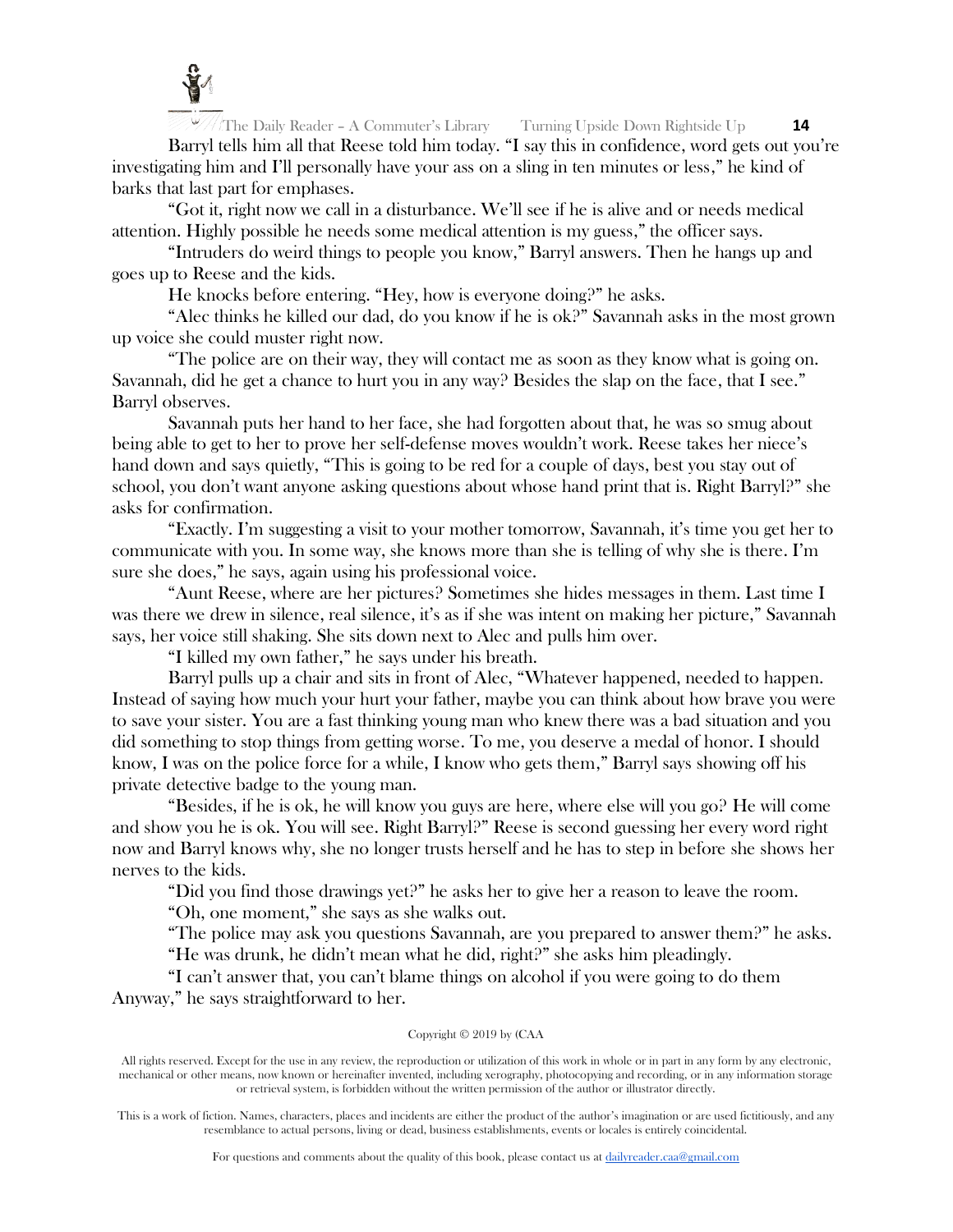

Barryl tells him all that Reese told him today. "I say this in confidence, word gets out you're investigating him and I'll personally have your ass on a sling in ten minutes or less," he kind of barks that last part for emphases.

"Got it, right now we call in a disturbance. We'll see if he is alive and or needs medical attention. Highly possible he needs some medical attention is my guess," the officer says.

"Intruders do weird things to people you know," Barryl answers. Then he hangs up and goes up to Reese and the kids.

He knocks before entering. "Hey, how is everyone doing?" he asks.

"Alec thinks he killed our dad, do you know if he is ok?" Savannah asks in the most grown up voice she could muster right now.

"The police are on their way, they will contact me as soon as they know what is going on. Savannah, did he get a chance to hurt you in any way? Besides the slap on the face, that I see." Barryl observes.

Savannah puts her hand to her face, she had forgotten about that, he was so smug about being able to get to her to prove her self-defense moves wouldn't work. Reese takes her niece's hand down and says quietly, "This is going to be red for a couple of days, best you stay out of school, you don't want anyone asking questions about whose hand print that is. Right Barryl?" she asks for confirmation.

"Exactly. I'm suggesting a visit to your mother tomorrow, Savannah, it's time you get her to communicate with you. In some way, she knows more than she is telling of why she is there. I'm sure she does," he says, again using his professional voice.

"Aunt Reese, where are her pictures? Sometimes she hides messages in them. Last time I was there we drew in silence, real silence, it's as if she was intent on making her picture," Savannah says, her voice still shaking. She sits down next to Alec and pulls him over.

"I killed my own father," he says under his breath.

Barryl pulls up a chair and sits in front of Alec, "Whatever happened, needed to happen. Instead of saying how much your hurt your father, maybe you can think about how brave you were to save your sister. You are a fast thinking young man who knew there was a bad situation and you did something to stop things from getting worse. To me, you deserve a medal of honor. I should know, I was on the police force for a while, I know who gets them," Barryl says showing off his private detective badge to the young man.

"Besides, if he is ok, he will know you guys are here, where else will you go? He will come and show you he is ok. You will see. Right Barryl?" Reese is second guessing her every word right now and Barryl knows why, she no longer trusts herself and he has to step in before she shows her nerves to the kids.

"Did you find those drawings yet?" he asks her to give her a reason to leave the room.

"Oh, one moment," she says as she walks out.

"The police may ask you questions Savannah, are you prepared to answer them?" he asks.

"He was drunk, he didn't mean what he did, right?" she asks him pleadingly.

"I can't answer that, you can't blame things on alcohol if you were going to do them Anyway," he says straightforward to her.

## Copyright © 2019 by (CAA

All rights reserved. Except for the use in any review, the reproduction or utilization of this work in whole or in part in any form by any electronic, mechanical or other means, now known or hereinafter invented, including xerography, photocopying and recording, or in any information storage or retrieval system, is forbidden without the written permission of the author or illustrator directly.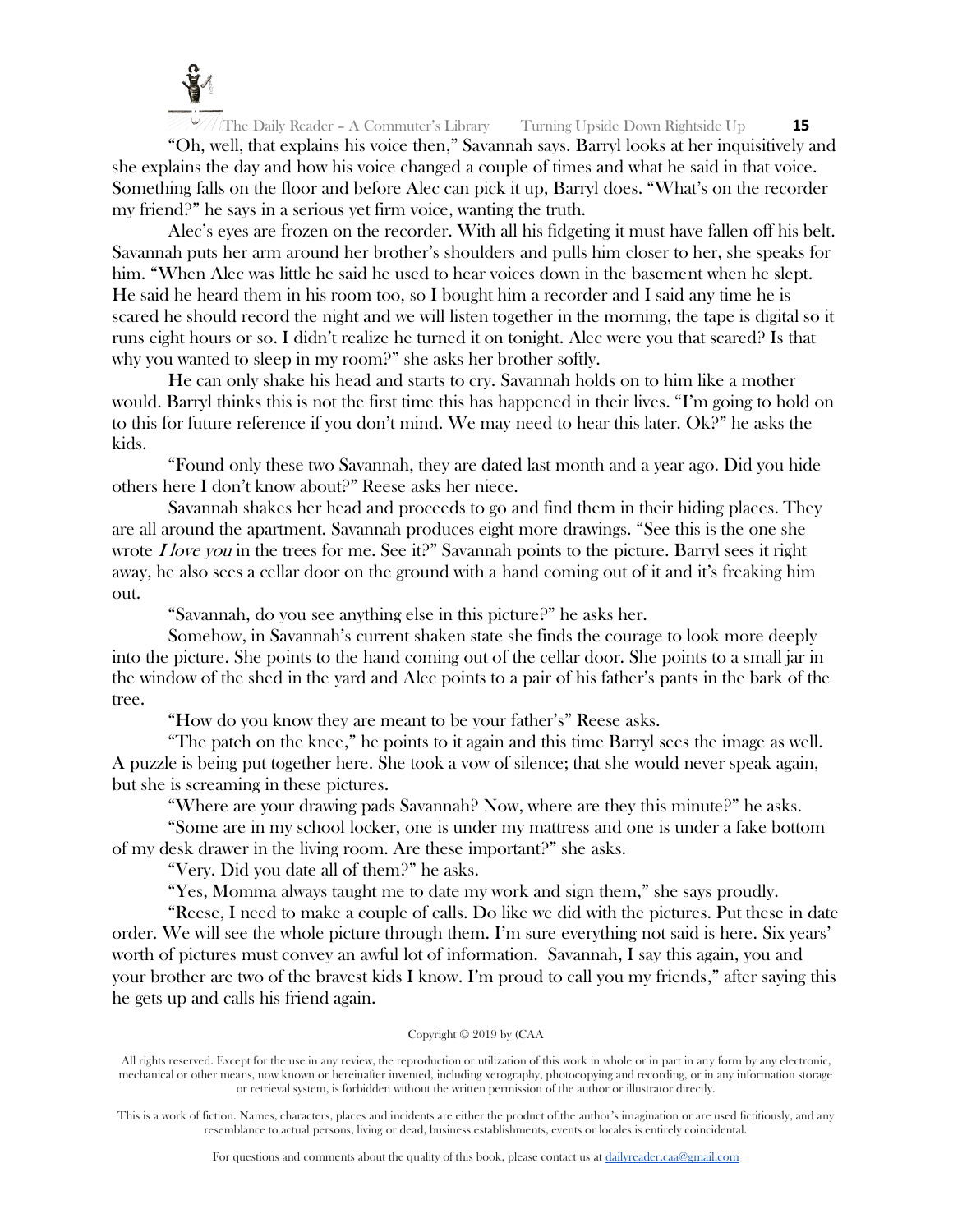

"Oh, well, that explains his voice then," Savannah says. Barryl looks at her inquisitively and she explains the day and how his voice changed a couple of times and what he said in that voice. Something falls on the floor and before Alec can pick it up, Barryl does. "What's on the recorder my friend?" he says in a serious yet firm voice, wanting the truth.

Alec's eyes are frozen on the recorder. With all his fidgeting it must have fallen off his belt. Savannah puts her arm around her brother's shoulders and pulls him closer to her, she speaks for him. "When Alec was little he said he used to hear voices down in the basement when he slept. He said he heard them in his room too, so I bought him a recorder and I said any time he is scared he should record the night and we will listen together in the morning, the tape is digital so it runs eight hours or so. I didn't realize he turned it on tonight. Alec were you that scared? Is that why you wanted to sleep in my room?" she asks her brother softly.

He can only shake his head and starts to cry. Savannah holds on to him like a mother would. Barryl thinks this is not the first time this has happened in their lives. "I'm going to hold on to this for future reference if you don't mind. We may need to hear this later. Ok?" he asks the kids.

"Found only these two Savannah, they are dated last month and a year ago. Did you hide others here I don't know about?" Reese asks her niece.

Savannah shakes her head and proceeds to go and find them in their hiding places. They are all around the apartment. Savannah produces eight more drawings. "See this is the one she wrote  $I$  love you in the trees for me. See it?" Savannah points to the picture. Barryl sees it right away, he also sees a cellar door on the ground with a hand coming out of it and it's freaking him out.

"Savannah, do you see anything else in this picture?" he asks her.

Somehow, in Savannah's current shaken state she finds the courage to look more deeply into the picture. She points to the hand coming out of the cellar door. She points to a small jar in the window of the shed in the yard and Alec points to a pair of his father's pants in the bark of the tree.

"How do you know they are meant to be your father's" Reese asks.

"The patch on the knee," he points to it again and this time Barryl sees the image as well. A puzzle is being put together here. She took a vow of silence; that she would never speak again, but she is screaming in these pictures.

"Where are your drawing pads Savannah? Now, where are they this minute?" he asks.

"Some are in my school locker, one is under my mattress and one is under a fake bottom of my desk drawer in the living room. Are these important?" she asks.

"Very. Did you date all of them?" he asks.

"Yes, Momma always taught me to date my work and sign them," she says proudly.

"Reese, I need to make a couple of calls. Do like we did with the pictures. Put these in date order. We will see the whole picture through them. I'm sure everything not said is here. Six years' worth of pictures must convey an awful lot of information. Savannah, I say this again, you and your brother are two of the bravest kids I know. I'm proud to call you my friends," after saying this he gets up and calls his friend again.

## Copyright © 2019 by (CAA

All rights reserved. Except for the use in any review, the reproduction or utilization of this work in whole or in part in any form by any electronic, mechanical or other means, now known or hereinafter invented, including xerography, photocopying and recording, or in any information storage or retrieval system, is forbidden without the written permission of the author or illustrator directly.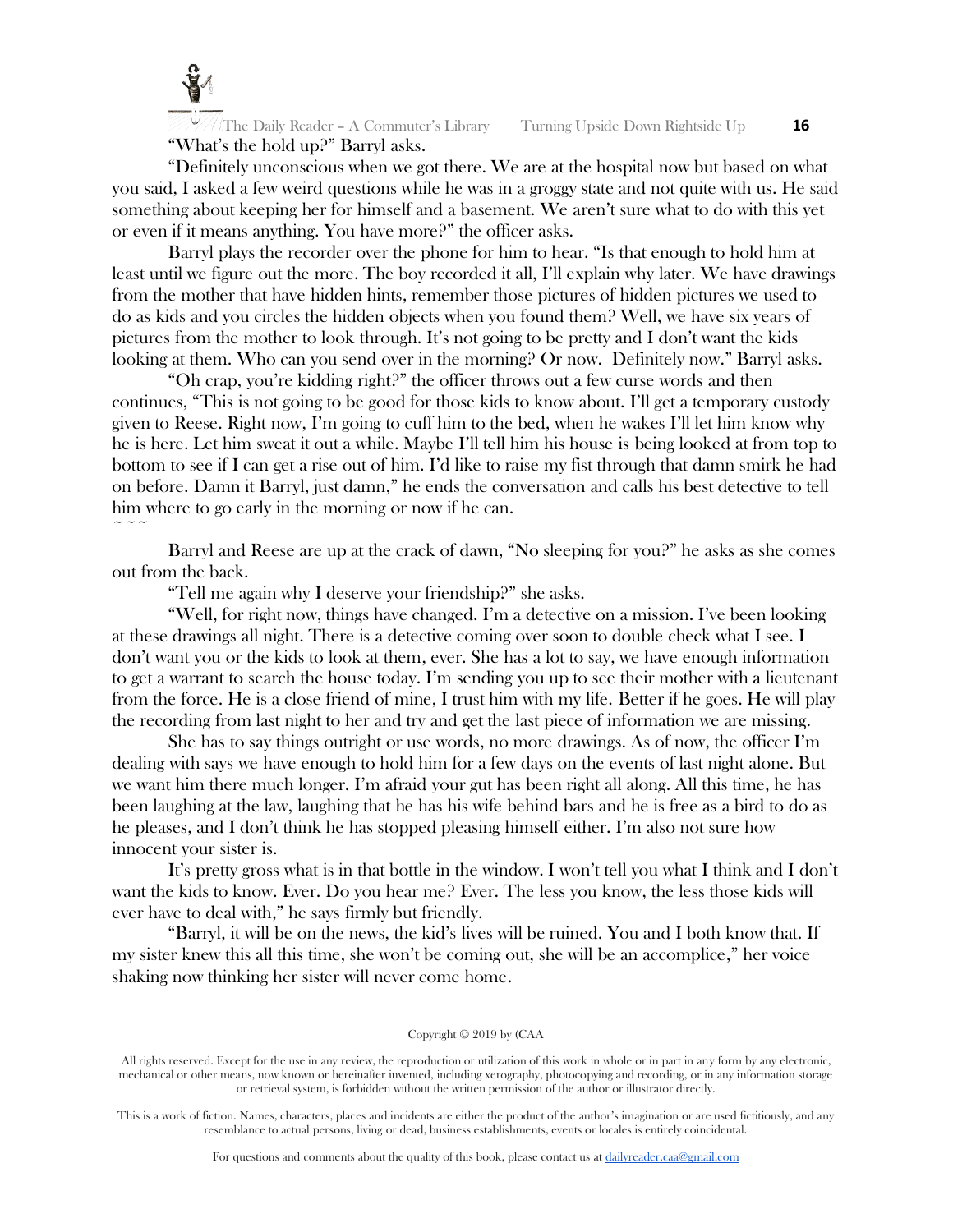

The Daily Reader – A Commuter's Library Turning Upside Down Rightside Up **16** "What's the hold up?" Barryl asks.

"Definitely unconscious when we got there. We are at the hospital now but based on what you said, I asked a few weird questions while he was in a groggy state and not quite with us. He said something about keeping her for himself and a basement. We aren't sure what to do with this yet or even if it means anything. You have more?" the officer asks.

Barryl plays the recorder over the phone for him to hear. "Is that enough to hold him at least until we figure out the more. The boy recorded it all, I'll explain why later. We have drawings from the mother that have hidden hints, remember those pictures of hidden pictures we used to do as kids and you circles the hidden objects when you found them? Well, we have six years of pictures from the mother to look through. It's not going to be pretty and I don't want the kids looking at them. Who can you send over in the morning? Or now. Definitely now." Barryl asks.

"Oh crap, you're kidding right?" the officer throws out a few curse words and then continues, "This is not going to be good for those kids to know about. I'll get a temporary custody given to Reese. Right now, I'm going to cuff him to the bed, when he wakes I'll let him know why he is here. Let him sweat it out a while. Maybe I'll tell him his house is being looked at from top to bottom to see if I can get a rise out of him. I'd like to raise my fist through that damn smirk he had on before. Damn it Barryl, just damn," he ends the conversation and calls his best detective to tell him where to go early in the morning or now if he can.  $\sim$   $\sim$   $\sim$ 

Barryl and Reese are up at the crack of dawn, "No sleeping for you?" he asks as she comes out from the back.

"Tell me again why I deserve your friendship?" she asks.

"Well, for right now, things have changed. I'm a detective on a mission. I've been looking at these drawings all night. There is a detective coming over soon to double check what I see. I don't want you or the kids to look at them, ever. She has a lot to say, we have enough information to get a warrant to search the house today. I'm sending you up to see their mother with a lieutenant from the force. He is a close friend of mine, I trust him with my life. Better if he goes. He will play the recording from last night to her and try and get the last piece of information we are missing.

She has to say things outright or use words, no more drawings. As of now, the officer  $\Gamma_{\text{m}}$ dealing with says we have enough to hold him for a few days on the events of last night alone. But we want him there much longer. I'm afraid your gut has been right all along. All this time, he has been laughing at the law, laughing that he has his wife behind bars and he is free as a bird to do as he pleases, and I don't think he has stopped pleasing himself either. I'm also not sure how innocent your sister is.

It's pretty gross what is in that bottle in the window. I won't tell you what I think and I don't want the kids to know. Ever. Do you hear me? Ever. The less you know, the less those kids will ever have to deal with," he says firmly but friendly.

"Barryl, it will be on the news, the kid's lives will be ruined. You and I both know that. If my sister knew this all this time, she won't be coming out, she will be an accomplice," her voice shaking now thinking her sister will never come home.

#### Copyright © 2019 by (CAA

All rights reserved. Except for the use in any review, the reproduction or utilization of this work in whole or in part in any form by any electronic, mechanical or other means, now known or hereinafter invented, including xerography, photocopying and recording, or in any information storage or retrieval system, is forbidden without the written permission of the author or illustrator directly.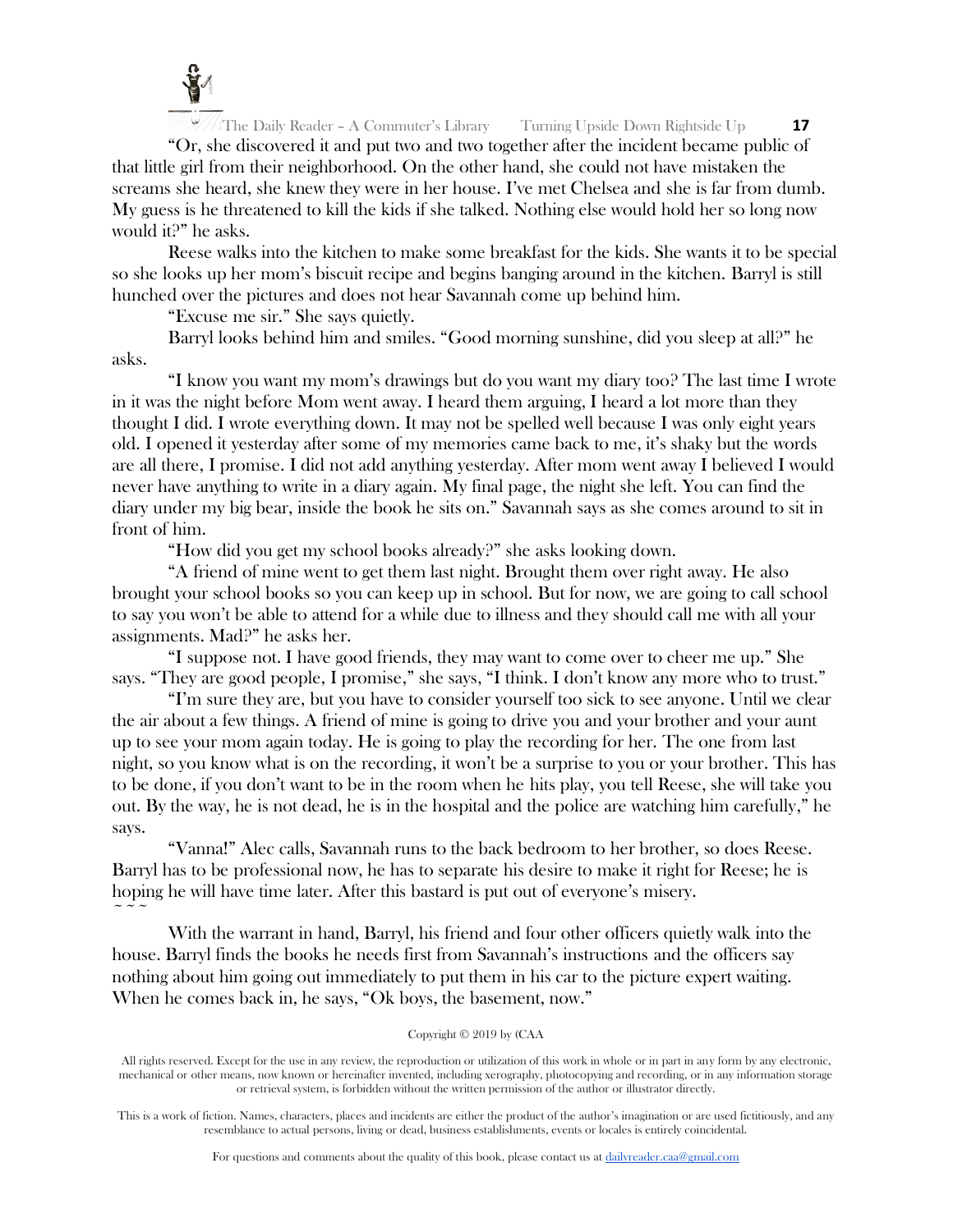

"Or, she discovered it and put two and two together after the incident became public of that little girl from their neighborhood. On the other hand, she could not have mistaken the screams she heard, she knew they were in her house. I've met Chelsea and she is far from dumb. My guess is he threatened to kill the kids if she talked. Nothing else would hold her so long now would it?" he asks.

Reese walks into the kitchen to make some breakfast for the kids. She wants it to be special so she looks up her mom's biscuit recipe and begins banging around in the kitchen. Barryl is still hunched over the pictures and does not hear Savannah come up behind him.

"Excuse me sir." She says quietly.

Barryl looks behind him and smiles. "Good morning sunshine, did you sleep at all?" he asks.

"I know you want my mom's drawings but do you want my diary too? The last time I wrote in it was the night before Mom went away. I heard them arguing, I heard a lot more than they thought I did. I wrote everything down. It may not be spelled well because I was only eight years old. I opened it yesterday after some of my memories came back to me, it's shaky but the words are all there, I promise. I did not add anything yesterday. After mom went away I believed I would never have anything to write in a diary again. My final page, the night she left. You can find the diary under my big bear, inside the book he sits on." Savannah says as she comes around to sit in front of him.

"How did you get my school books already?" she asks looking down.

"A friend of mine went to get them last night. Brought them over right away. He also brought your school books so you can keep up in school. But for now, we are going to call school to say you won't be able to attend for a while due to illness and they should call me with all your assignments. Mad?" he asks her.

"I suppose not. I have good friends, they may want to come over to cheer me up." She says. "They are good people, I promise," she says, "I think. I don't know any more who to trust."

"I'm sure they are, but you have to consider yourself too sick to see anyone. Until we clear the air about a few things. A friend of mine is going to drive you and your brother and your aunt up to see your mom again today. He is going to play the recording for her. The one from last night, so you know what is on the recording, it won't be a surprise to you or your brother. This has to be done, if you don't want to be in the room when he hits play, you tell Reese, she will take you out. By the way, he is not dead, he is in the hospital and the police are watching him carefully," he says.

"Vanna!" Alec calls, Savannah runs to the back bedroom to her brother, so does Reese. Barryl has to be professional now, he has to separate his desire to make it right for Reese; he is hoping he will have time later. After this bastard is put out of everyone's misery.  $\sim$   $\sim$   $\sim$ 

With the warrant in hand, Barryl, his friend and four other officers quietly walk into the house. Barryl finds the books he needs first from Savannah's instructions and the officers say nothing about him going out immediately to put them in his car to the picture expert waiting. When he comes back in, he says, "Ok boys, the basement, now."

## Copyright © 2019 by (CAA

All rights reserved. Except for the use in any review, the reproduction or utilization of this work in whole or in part in any form by any electronic, mechanical or other means, now known or hereinafter invented, including xerography, photocopying and recording, or in any information storage or retrieval system, is forbidden without the written permission of the author or illustrator directly.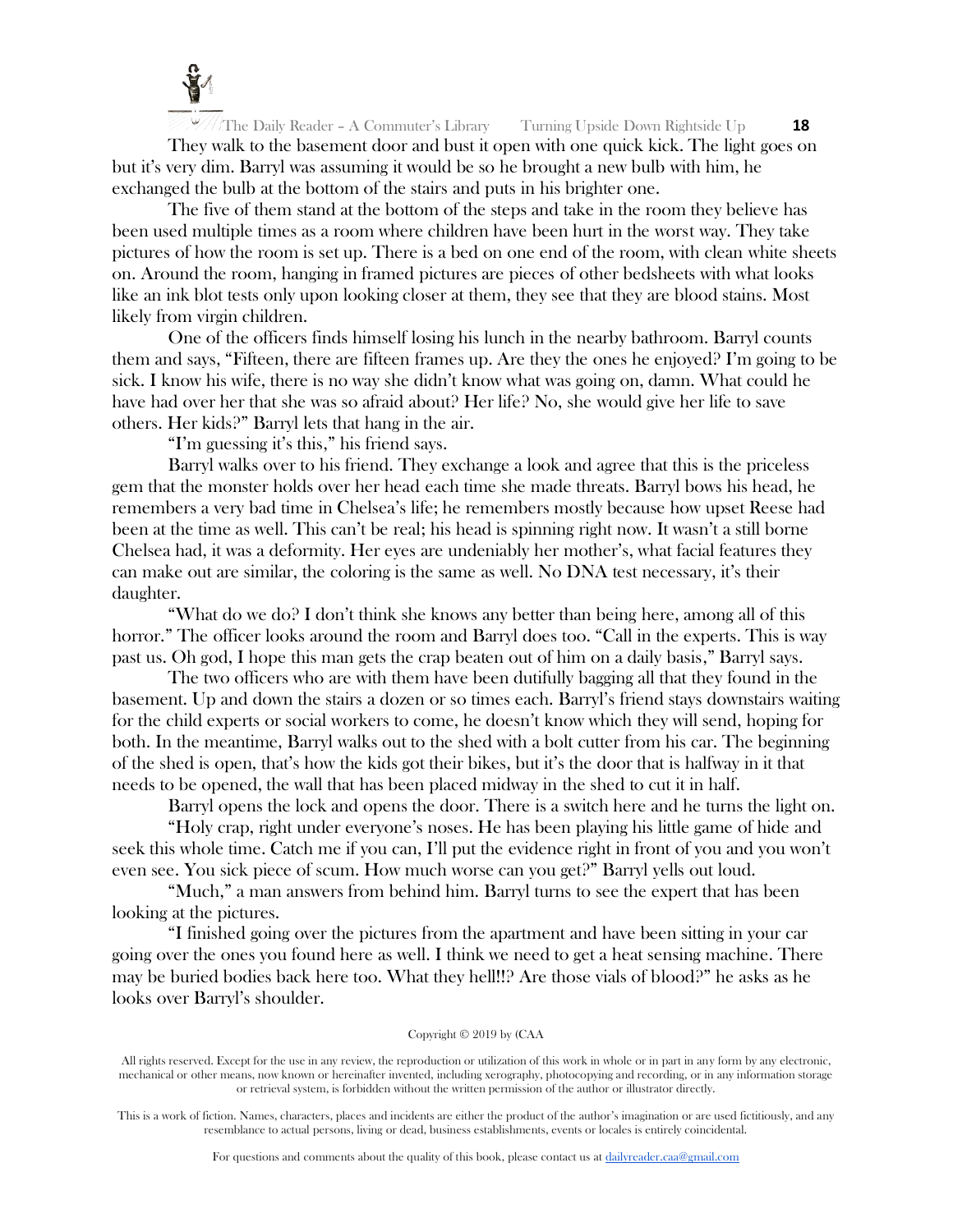

The Daily Reader – A Commuter's Library Turning Upside Down Rightside Up **18** They walk to the basement door and bust it open with one quick kick. The light goes on but it's very dim. Barryl was assuming it would be so he brought a new bulb with him, he exchanged the bulb at the bottom of the stairs and puts in his brighter one.

The five of them stand at the bottom of the steps and take in the room they believe has been used multiple times as a room where children have been hurt in the worst way. They take pictures of how the room is set up. There is a bed on one end of the room, with clean white sheets on. Around the room, hanging in framed pictures are pieces of other bedsheets with what looks like an ink blot tests only upon looking closer at them, they see that they are blood stains. Most likely from virgin children.

One of the officers finds himself losing his lunch in the nearby bathroom. Barryl counts them and says, "Fifteen, there are fifteen frames up. Are they the ones he enjoyed? I'm going to be sick. I know his wife, there is no way she didn't know what was going on, damn. What could he have had over her that she was so afraid about? Her life? No, she would give her life to save others. Her kids?" Barryl lets that hang in the air.

"I'm guessing it's this," his friend says.

Barryl walks over to his friend. They exchange a look and agree that this is the priceless gem that the monster holds over her head each time she made threats. Barryl bows his head, he remembers a very bad time in Chelsea's life; he remembers mostly because how upset Reese had been at the time as well. This can't be real; his head is spinning right now. It wasn't a still borne Chelsea had, it was a deformity. Her eyes are undeniably her mother's, what facial features they can make out are similar, the coloring is the same as well. No DNA test necessary, it's their daughter.

"What do we do? I don't think she knows any better than being here, among all of this horror." The officer looks around the room and Barryl does too. "Call in the experts. This is way past us. Oh god, I hope this man gets the crap beaten out of him on a daily basis," Barryl says.

The two officers who are with them have been dutifully bagging all that they found in the basement. Up and down the stairs a dozen or so times each. Barryl's friend stays downstairs waiting for the child experts or social workers to come, he doesn't know which they will send, hoping for both. In the meantime, Barryl walks out to the shed with a bolt cutter from his car. The beginning of the shed is open, that's how the kids got their bikes, but it's the door that is halfway in it that needs to be opened, the wall that has been placed midway in the shed to cut it in half.

Barryl opens the lock and opens the door. There is a switch here and he turns the light on.

"Holy crap, right under everyone's noses. He has been playing his little game of hide and seek this whole time. Catch me if you can, I'll put the evidence right in front of you and you won't even see. You sick piece of scum. How much worse can you get?" Barryl yells out loud.

"Much," a man answers from behind him. Barryl turns to see the expert that has been looking at the pictures.

"I finished going over the pictures from the apartment and have been sitting in your car going over the ones you found here as well. I think we need to get a heat sensing machine. There may be buried bodies back here too. What they hell!!? Are those vials of blood?" he asks as he looks over Barryl's shoulder.

#### Copyright © 2019 by (CAA

All rights reserved. Except for the use in any review, the reproduction or utilization of this work in whole or in part in any form by any electronic, mechanical or other means, now known or hereinafter invented, including xerography, photocopying and recording, or in any information storage or retrieval system, is forbidden without the written permission of the author or illustrator directly.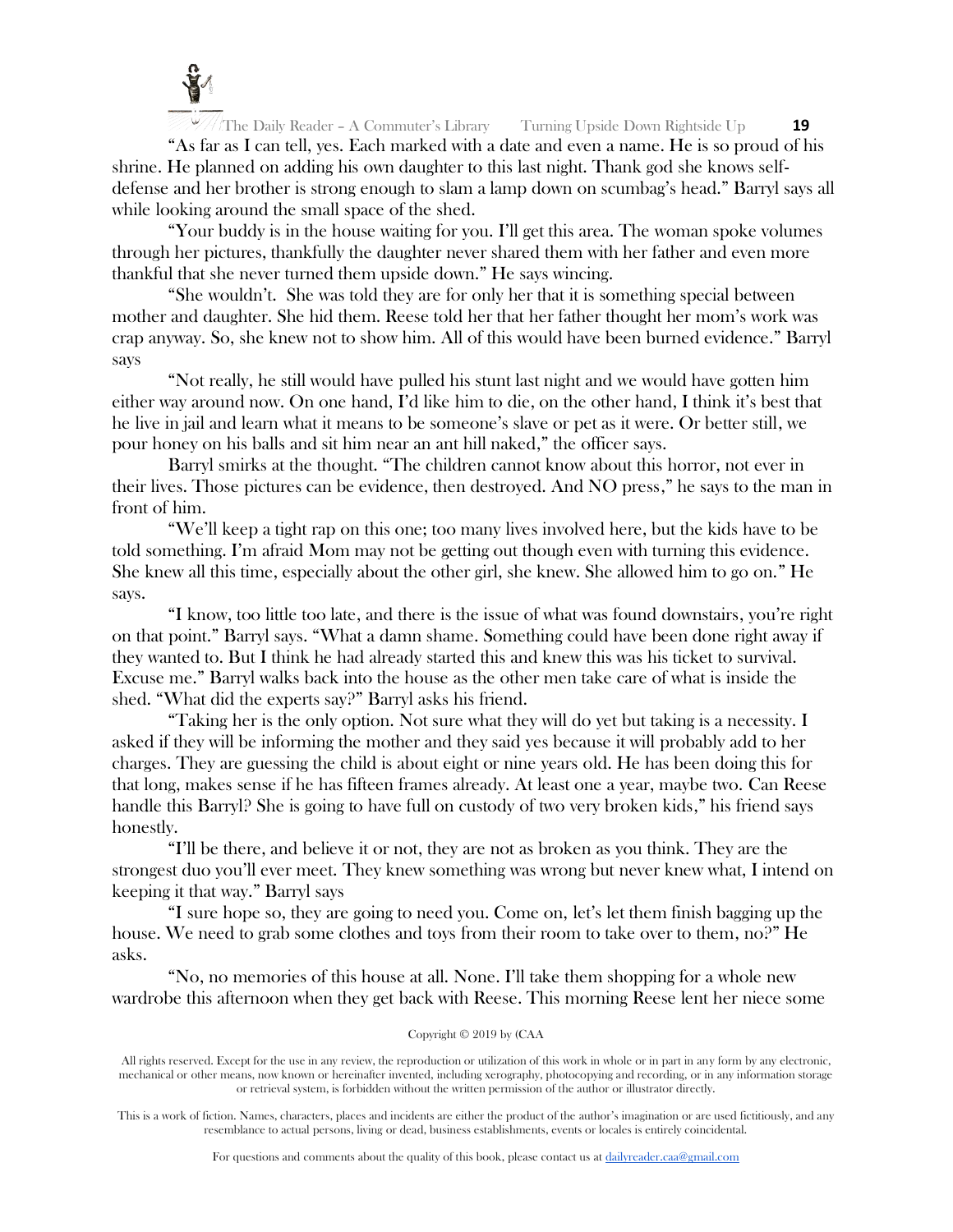

"As far as I can tell, yes. Each marked with a date and even a name. He is so proud of his shrine. He planned on adding his own daughter to this last night. Thank god she knows selfdefense and her brother is strong enough to slam a lamp down on scumbag's head." Barryl says all while looking around the small space of the shed.

"Your buddy is in the house waiting for you. I'll get this area. The woman spoke volumes through her pictures, thankfully the daughter never shared them with her father and even more thankful that she never turned them upside down." He says wincing.

"She wouldn't. She was told they are for only her that it is something special between mother and daughter. She hid them. Reese told her that her father thought her mom's work was crap anyway. So, she knew not to show him. All of this would have been burned evidence." Barryl says

"Not really, he still would have pulled his stunt last night and we would have gotten him either way around now. On one hand, I'd like him to die, on the other hand, I think it's best that he live in jail and learn what it means to be someone's slave or pet as it were. Or better still, we pour honey on his balls and sit him near an ant hill naked," the officer says.

Barryl smirks at the thought. "The children cannot know about this horror, not ever in their lives. Those pictures can be evidence, then destroyed. And NO press," he says to the man in front of him.

"We'll keep a tight rap on this one; too many lives involved here, but the kids have to be told something. I'm afraid Mom may not be getting out though even with turning this evidence. She knew all this time, especially about the other girl, she knew. She allowed him to go on." He says.

"I know, too little too late, and there is the issue of what was found downstairs, you're right on that point." Barryl says. "What a damn shame. Something could have been done right away if they wanted to. But I think he had already started this and knew this was his ticket to survival. Excuse me." Barryl walks back into the house as the other men take care of what is inside the shed. "What did the experts say?" Barryl asks his friend.

"Taking her is the only option. Not sure what they will do yet but taking is a necessity. I asked if they will be informing the mother and they said yes because it will probably add to her charges. They are guessing the child is about eight or nine years old. He has been doing this for that long, makes sense if he has fifteen frames already. At least one a year, maybe two. Can Reese handle this Barryl? She is going to have full on custody of two very broken kids," his friend says honestly.

"I'll be there, and believe it or not, they are not as broken as you think. They are the strongest duo you'll ever meet. They knew something was wrong but never knew what, I intend on keeping it that way." Barryl says

"I sure hope so, they are going to need you. Come on, let's let them finish bagging up the house. We need to grab some clothes and toys from their room to take over to them, no?" He asks.

"No, no memories of this house at all. None. I'll take them shopping for a whole new wardrobe this afternoon when they get back with Reese. This morning Reese lent her niece some

#### Copyright © 2019 by (CAA

All rights reserved. Except for the use in any review, the reproduction or utilization of this work in whole or in part in any form by any electronic, mechanical or other means, now known or hereinafter invented, including xerography, photocopying and recording, or in any information storage or retrieval system, is forbidden without the written permission of the author or illustrator directly.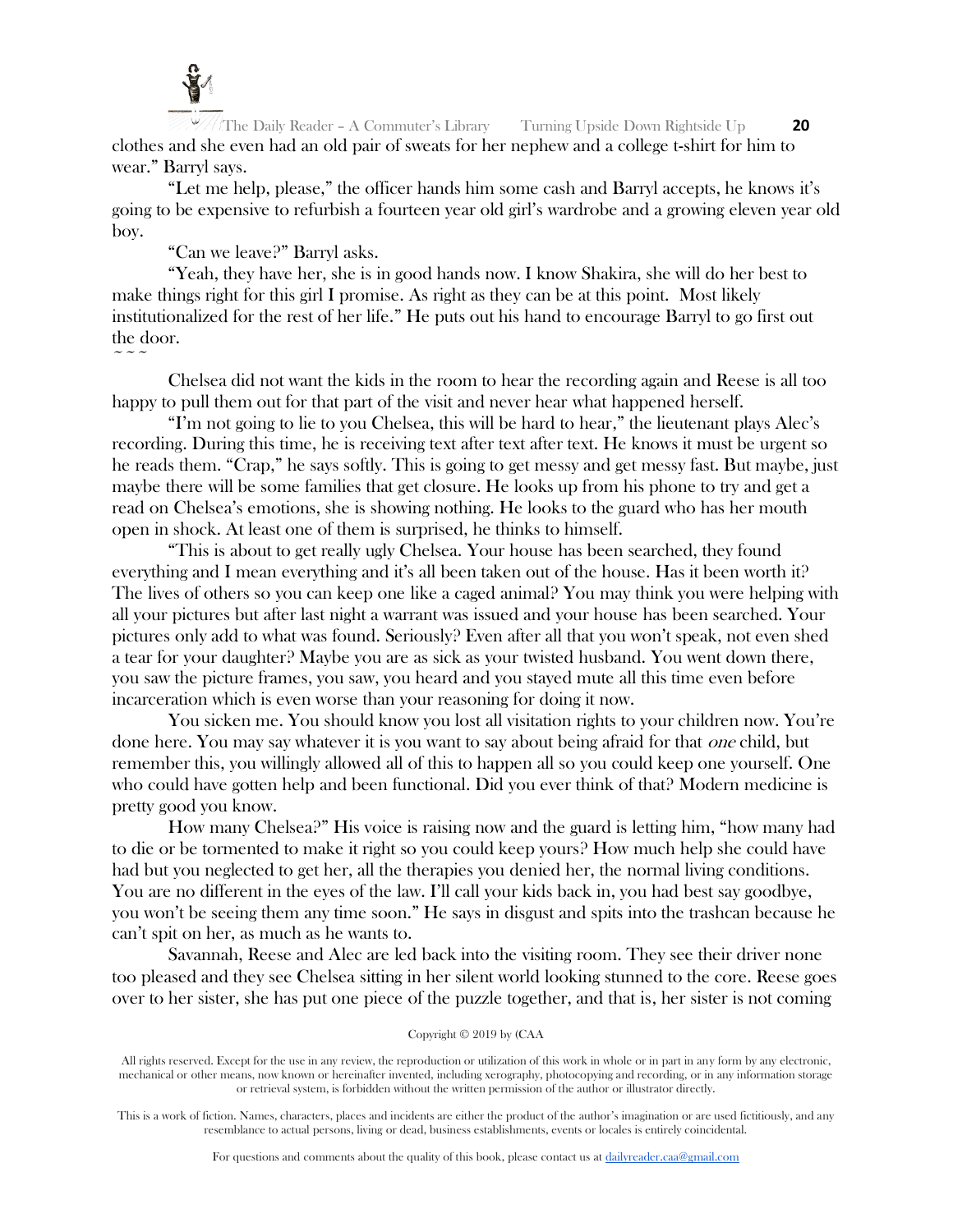

 $\sim$   $\sim$   $\sim$ 

The Daily Reader – A Commuter's Library Turning Upside Down Rightside Up **20** clothes and she even had an old pair of sweats for her nephew and a college t-shirt for him to wear." Barryl says.

"Let me help, please," the officer hands him some cash and Barryl accepts, he knows it's going to be expensive to refurbish a fourteen year old girl's wardrobe and a growing eleven year old boy.

"Can we leave?" Barryl asks.

"Yeah, they have her, she is in good hands now. I know Shakira, she will do her best to make things right for this girl I promise. As right as they can be at this point. Most likely institutionalized for the rest of her life." He puts out his hand to encourage Barryl to go first out the door.

Chelsea did not want the kids in the room to hear the recording again and Reese is all too happy to pull them out for that part of the visit and never hear what happened herself.

"I'm not going to lie to you Chelsea, this will be hard to hear," the lieutenant plays Alec's recording. During this time, he is receiving text after text after text. He knows it must be urgent so he reads them. "Crap," he says softly. This is going to get messy and get messy fast. But maybe, just maybe there will be some families that get closure. He looks up from his phone to try and get a read on Chelsea's emotions, she is showing nothing. He looks to the guard who has her mouth open in shock. At least one of them is surprised, he thinks to himself.

"This is about to get really ugly Chelsea. Your house has been searched, they found everything and I mean everything and it's all been taken out of the house. Has it been worth it? The lives of others so you can keep one like a caged animal? You may think you were helping with all your pictures but after last night a warrant was issued and your house has been searched. Your pictures only add to what was found. Seriously? Even after all that you won't speak, not even shed a tear for your daughter? Maybe you are as sick as your twisted husband. You went down there, you saw the picture frames, you saw, you heard and you stayed mute all this time even before incarceration which is even worse than your reasoning for doing it now.

You sicken me. You should know you lost all visitation rights to your children now. You're done here. You may say whatever it is you want to say about being afraid for that one child, but remember this, you willingly allowed all of this to happen all so you could keep one yourself. One who could have gotten help and been functional. Did you ever think of that? Modern medicine is pretty good you know.

How many Chelsea?" His voice is raising now and the guard is letting him, "how many had to die or be tormented to make it right so you could keep yours? How much help she could have had but you neglected to get her, all the therapies you denied her, the normal living conditions. You are no different in the eyes of the law. I'll call your kids back in, you had best say goodbye, you won't be seeing them any time soon." He says in disgust and spits into the trashcan because he can't spit on her, as much as he wants to.

Savannah, Reese and Alec are led back into the visiting room. They see their driver none too pleased and they see Chelsea sitting in her silent world looking stunned to the core. Reese goes over to her sister, she has put one piece of the puzzle together, and that is, her sister is not coming

#### Copyright © 2019 by (CAA

All rights reserved. Except for the use in any review, the reproduction or utilization of this work in whole or in part in any form by any electronic, mechanical or other means, now known or hereinafter invented, including xerography, photocopying and recording, or in any information storage or retrieval system, is forbidden without the written permission of the author or illustrator directly.

This is a work of fiction. Names, characters, places and incidents are either the product of the author's imagination or are used fictitiously, and any resemblance to actual persons, living or dead, business establishments, events or locales is entirely coincidental.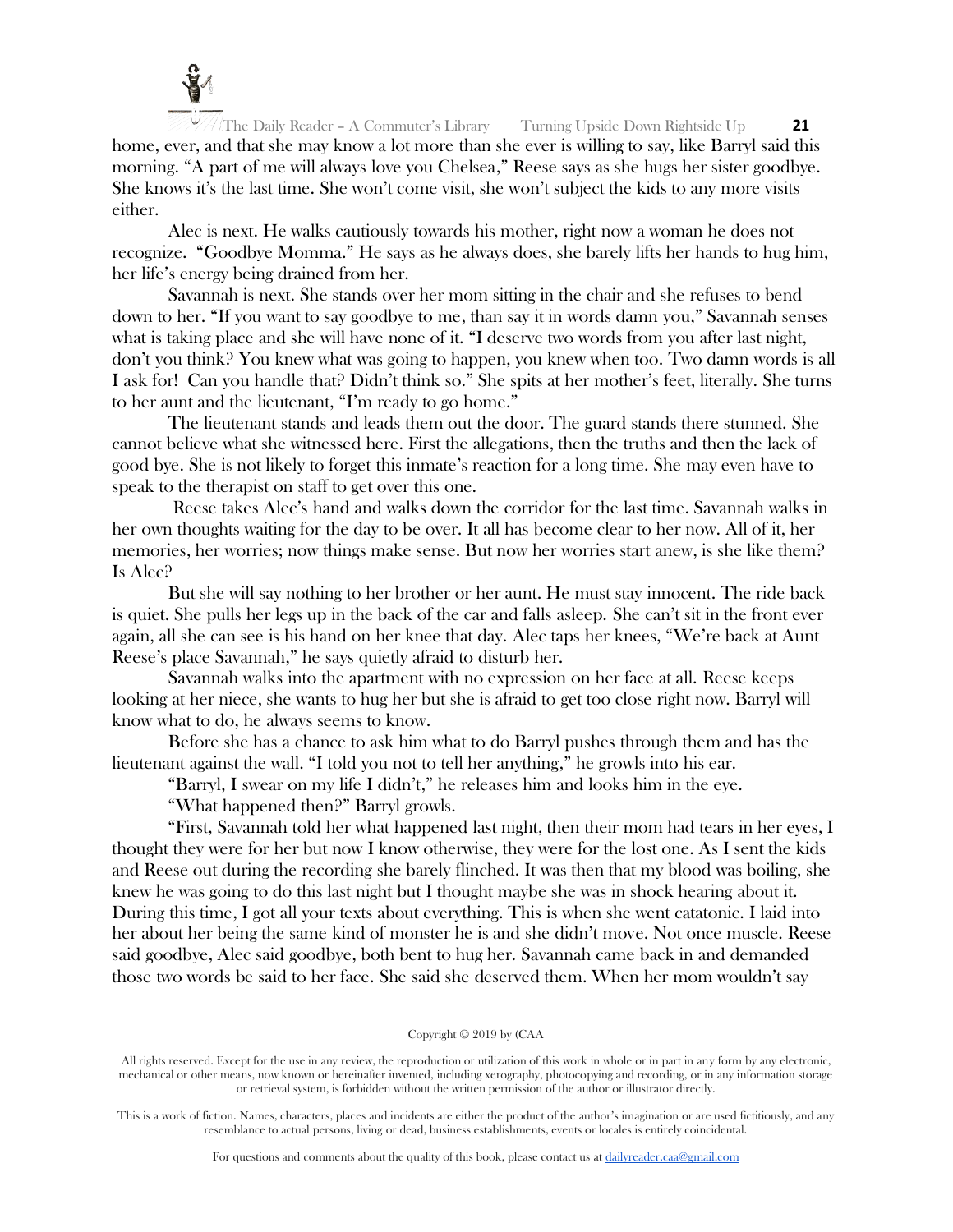

The Daily Reader – A Commuter's Library Turning Upside Down Rightside Up **21** home, ever, and that she may know a lot more than she ever is willing to say, like Barryl said this morning. "A part of me will always love you Chelsea," Reese says as she hugs her sister goodbye. She knows it's the last time. She won't come visit, she won't subject the kids to any more visits either.

Alec is next. He walks cautiously towards his mother, right now a woman he does not recognize. "Goodbye Momma." He says as he always does, she barely lifts her hands to hug him, her life's energy being drained from her.

Savannah is next. She stands over her mom sitting in the chair and she refuses to bend down to her. "If you want to say goodbye to me, than say it in words damn you," Savannah senses what is taking place and she will have none of it. "I deserve two words from you after last night, don't you think? You knew what was going to happen, you knew when too. Two damn words is all I ask for! Can you handle that? Didn't think so." She spits at her mother's feet, literally. She turns to her aunt and the lieutenant, "I'm ready to go home."

The lieutenant stands and leads them out the door. The guard stands there stunned. She cannot believe what she witnessed here. First the allegations, then the truths and then the lack of good bye. She is not likely to forget this inmate's reaction for a long time. She may even have to speak to the therapist on staff to get over this one.

Reese takes Alec's hand and walks down the corridor for the last time. Savannah walks in her own thoughts waiting for the day to be over. It all has become clear to her now. All of it, her memories, her worries; now things make sense. But now her worries start anew, is she like them? Is Alec?

But she will say nothing to her brother or her aunt. He must stay innocent. The ride back is quiet. She pulls her legs up in the back of the car and falls asleep. She can't sit in the front ever again, all she can see is his hand on her knee that day. Alec taps her knees, "We're back at Aunt Reese's place Savannah," he says quietly afraid to disturb her.

Savannah walks into the apartment with no expression on her face at all. Reese keeps looking at her niece, she wants to hug her but she is afraid to get too close right now. Barryl will know what to do, he always seems to know.

Before she has a chance to ask him what to do Barryl pushes through them and has the lieutenant against the wall. "I told you not to tell her anything," he growls into his ear.

"Barryl, I swear on my life I didn't," he releases him and looks him in the eye.

"What happened then?" Barryl growls.

"First, Savannah told her what happened last night, then their mom had tears in her eyes, I thought they were for her but now I know otherwise, they were for the lost one. As I sent the kids and Reese out during the recording she barely flinched. It was then that my blood was boiling, she knew he was going to do this last night but I thought maybe she was in shock hearing about it. During this time, I got all your texts about everything. This is when she went catatonic. I laid into her about her being the same kind of monster he is and she didn't move. Not once muscle. Reese said goodbye, Alec said goodbye, both bent to hug her. Savannah came back in and demanded those two words be said to her face. She said she deserved them. When her mom wouldn't say

#### Copyright © 2019 by (CAA

All rights reserved. Except for the use in any review, the reproduction or utilization of this work in whole or in part in any form by any electronic, mechanical or other means, now known or hereinafter invented, including xerography, photocopying and recording, or in any information storage or retrieval system, is forbidden without the written permission of the author or illustrator directly.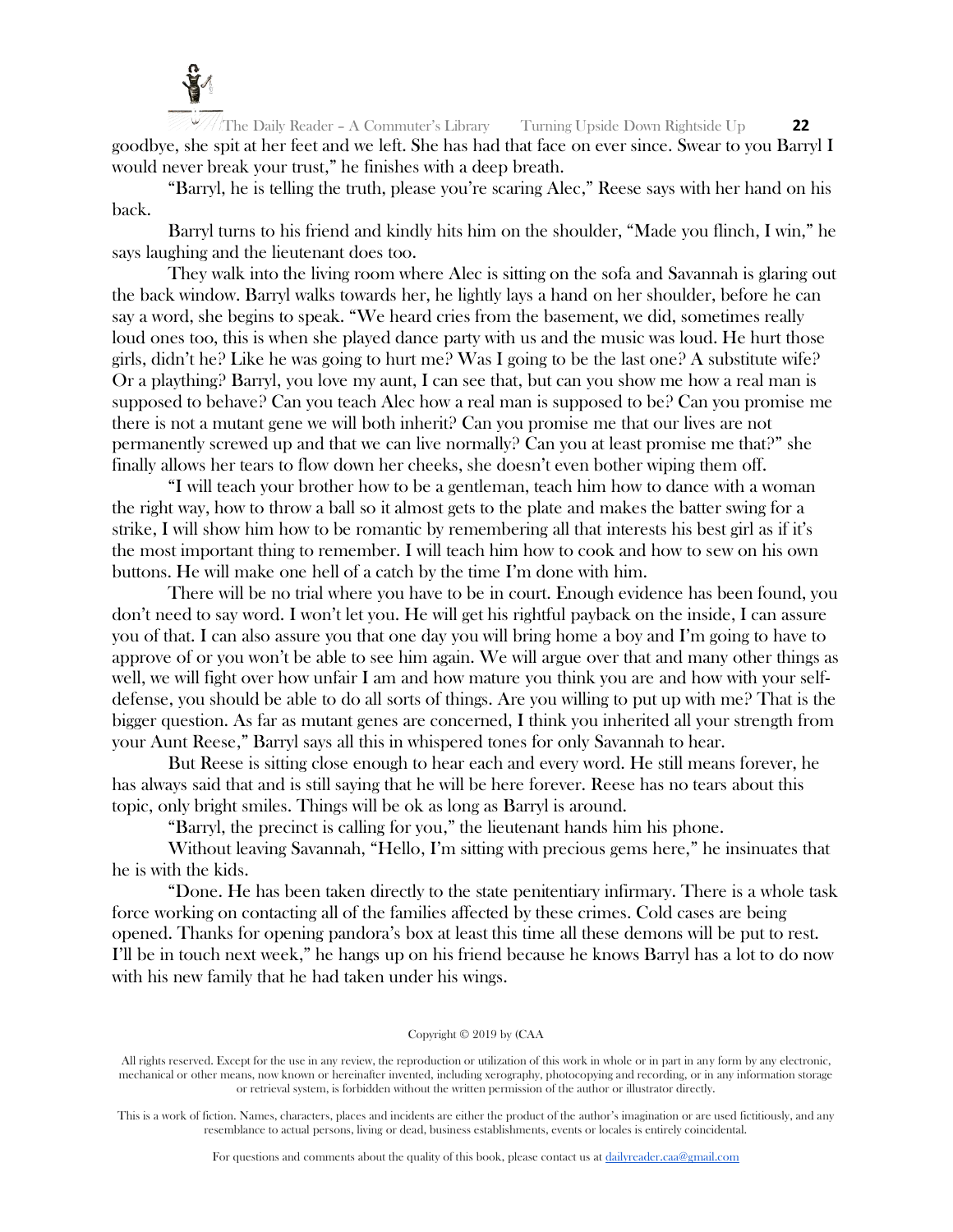

The Daily Reader – A Commuter's Library Turning Upside Down Rightside Up **22** goodbye, she spit at her feet and we left. She has had that face on ever since. Swear to you Barryl I would never break your trust," he finishes with a deep breath.

"Barryl, he is telling the truth, please you're scaring Alec," Reese says with her hand on his back.

Barryl turns to his friend and kindly hits him on the shoulder, "Made you flinch, I win," he says laughing and the lieutenant does too.

They walk into the living room where Alec is sitting on the sofa and Savannah is glaring out the back window. Barryl walks towards her, he lightly lays a hand on her shoulder, before he can say a word, she begins to speak. "We heard cries from the basement, we did, sometimes really loud ones too, this is when she played dance party with us and the music was loud. He hurt those girls, didn't he? Like he was going to hurt me? Was I going to be the last one? A substitute wife? Or a plaything? Barryl, you love my aunt, I can see that, but can you show me how a real man is supposed to behave? Can you teach Alec how a real man is supposed to be? Can you promise me there is not a mutant gene we will both inherit? Can you promise me that our lives are not permanently screwed up and that we can live normally? Can you at least promise me that?" she finally allows her tears to flow down her cheeks, she doesn't even bother wiping them off.

"I will teach your brother how to be a gentleman, teach him how to dance with a woman the right way, how to throw a ball so it almost gets to the plate and makes the batter swing for a strike, I will show him how to be romantic by remembering all that interests his best girl as if it's the most important thing to remember. I will teach him how to cook and how to sew on his own buttons. He will make one hell of a catch by the time I'm done with him.

There will be no trial where you have to be in court. Enough evidence has been found, you don't need to say word. I won't let you. He will get his rightful payback on the inside, I can assure you of that. I can also assure you that one day you will bring home a boy and I'm going to have to approve of or you won't be able to see him again. We will argue over that and many other things as well, we will fight over how unfair I am and how mature you think you are and how with your selfdefense, you should be able to do all sorts of things. Are you willing to put up with me? That is the bigger question. As far as mutant genes are concerned, I think you inherited all your strength from your Aunt Reese," Barryl says all this in whispered tones for only Savannah to hear.

But Reese is sitting close enough to hear each and every word. He still means forever, he has always said that and is still saying that he will be here forever. Reese has no tears about this topic, only bright smiles. Things will be ok as long as Barryl is around.

"Barryl, the precinct is calling for you," the lieutenant hands him his phone.

Without leaving Savannah, "Hello, I'm sitting with precious gems here," he insinuates that he is with the kids.

"Done. He has been taken directly to the state penitentiary infirmary. There is a whole task force working on contacting all of the families affected by these crimes. Cold cases are being opened. Thanks for opening pandora's box at least this time all these demons will be put to rest. I'll be in touch next week," he hangs up on his friend because he knows Barryl has a lot to do now with his new family that he had taken under his wings.

## Copyright © 2019 by (CAA

All rights reserved. Except for the use in any review, the reproduction or utilization of this work in whole or in part in any form by any electronic, mechanical or other means, now known or hereinafter invented, including xerography, photocopying and recording, or in any information storage or retrieval system, is forbidden without the written permission of the author or illustrator directly.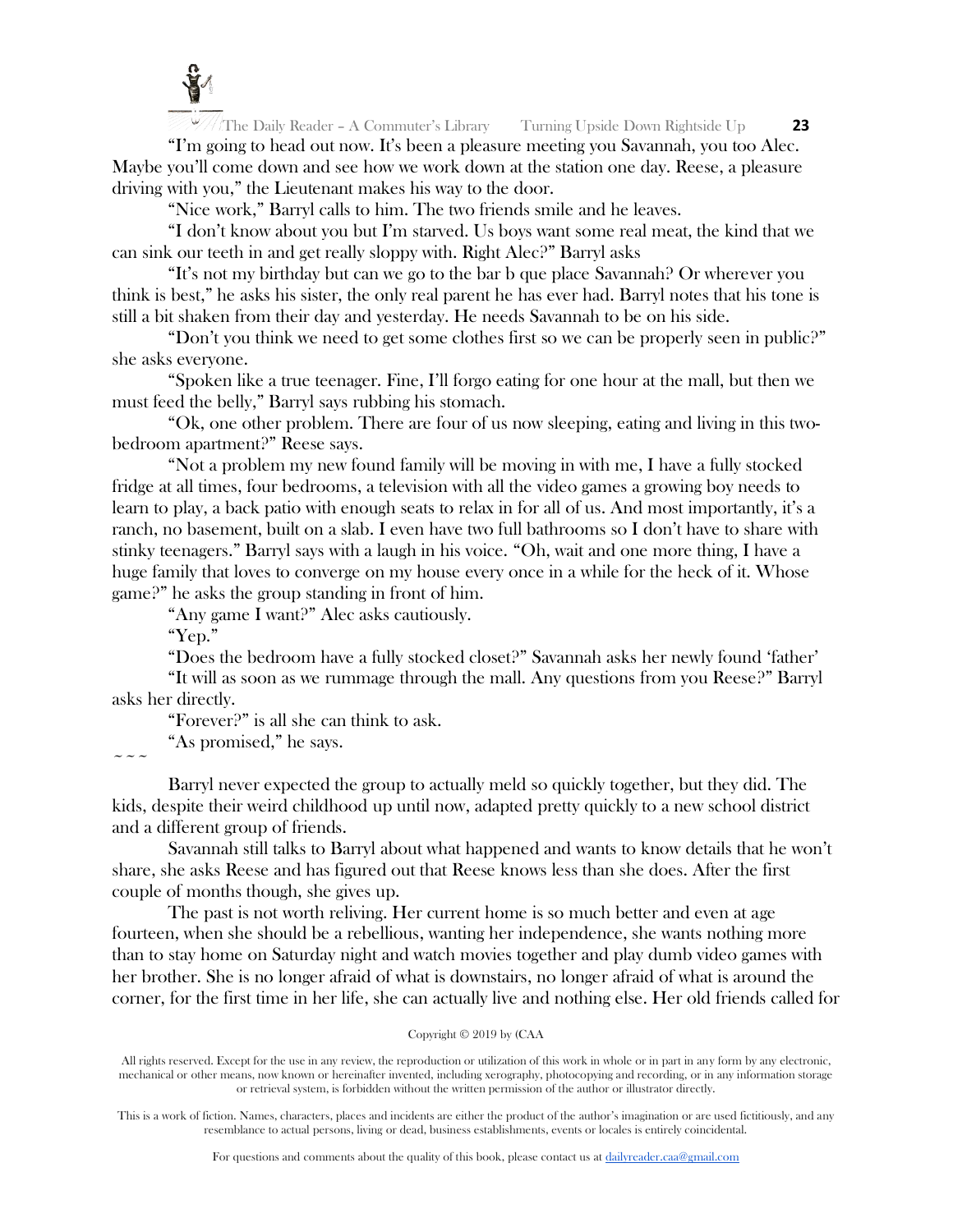

"I'm going to head out now. It's been a pleasure meeting you Savannah, you too Alec. Maybe you'll come down and see how we work down at the station one day. Reese, a pleasure driving with you," the Lieutenant makes his way to the door.

"Nice work," Barryl calls to him. The two friends smile and he leaves.

"I don't know about you but I'm starved. Us boys want some real meat, the kind that we can sink our teeth in and get really sloppy with. Right Alec?" Barryl asks

"It's not my birthday but can we go to the bar b que place Savannah? Or wherever you think is best," he asks his sister, the only real parent he has ever had. Barryl notes that his tone is still a bit shaken from their day and yesterday. He needs Savannah to be on his side.

"Don't you think we need to get some clothes first so we can be properly seen in public?" she asks everyone.

"Spoken like a true teenager. Fine, I'll forgo eating for one hour at the mall, but then we must feed the belly," Barryl says rubbing his stomach.

"Ok, one other problem. There are four of us now sleeping, eating and living in this twobedroom apartment?" Reese says.

"Not a problem my new found family will be moving in with me, I have a fully stocked fridge at all times, four bedrooms, a television with all the video games a growing boy needs to learn to play, a back patio with enough seats to relax in for all of us. And most importantly, it's a ranch, no basement, built on a slab. I even have two full bathrooms so I don't have to share with stinky teenagers." Barryl says with a laugh in his voice. "Oh, wait and one more thing, I have a huge family that loves to converge on my house every once in a while for the heck of it. Whose game?" he asks the group standing in front of him.

"Any game I want?" Alec asks cautiously.

"Yep."

 $\sim$   $\sim$   $\sim$ 

"Does the bedroom have a fully stocked closet?" Savannah asks her newly found 'father'

"It will as soon as we rummage through the mall. Any questions from you Reese?" Barryl asks her directly.

"Forever?" is all she can think to ask.

"As promised," he says.

Barryl never expected the group to actually meld so quickly together, but they did. The kids, despite their weird childhood up until now, adapted pretty quickly to a new school district and a different group of friends.

Savannah still talks to Barryl about what happened and wants to know details that he won't share, she asks Reese and has figured out that Reese knows less than she does. After the first couple of months though, she gives up.

The past is not worth reliving. Her current home is so much better and even at age fourteen, when she should be a rebellious, wanting her independence, she wants nothing more than to stay home on Saturday night and watch movies together and play dumb video games with her brother. She is no longer afraid of what is downstairs, no longer afraid of what is around the corner, for the first time in her life, she can actually live and nothing else. Her old friends called for

## Copyright © 2019 by (CAA

All rights reserved. Except for the use in any review, the reproduction or utilization of this work in whole or in part in any form by any electronic, mechanical or other means, now known or hereinafter invented, including xerography, photocopying and recording, or in any information storage or retrieval system, is forbidden without the written permission of the author or illustrator directly.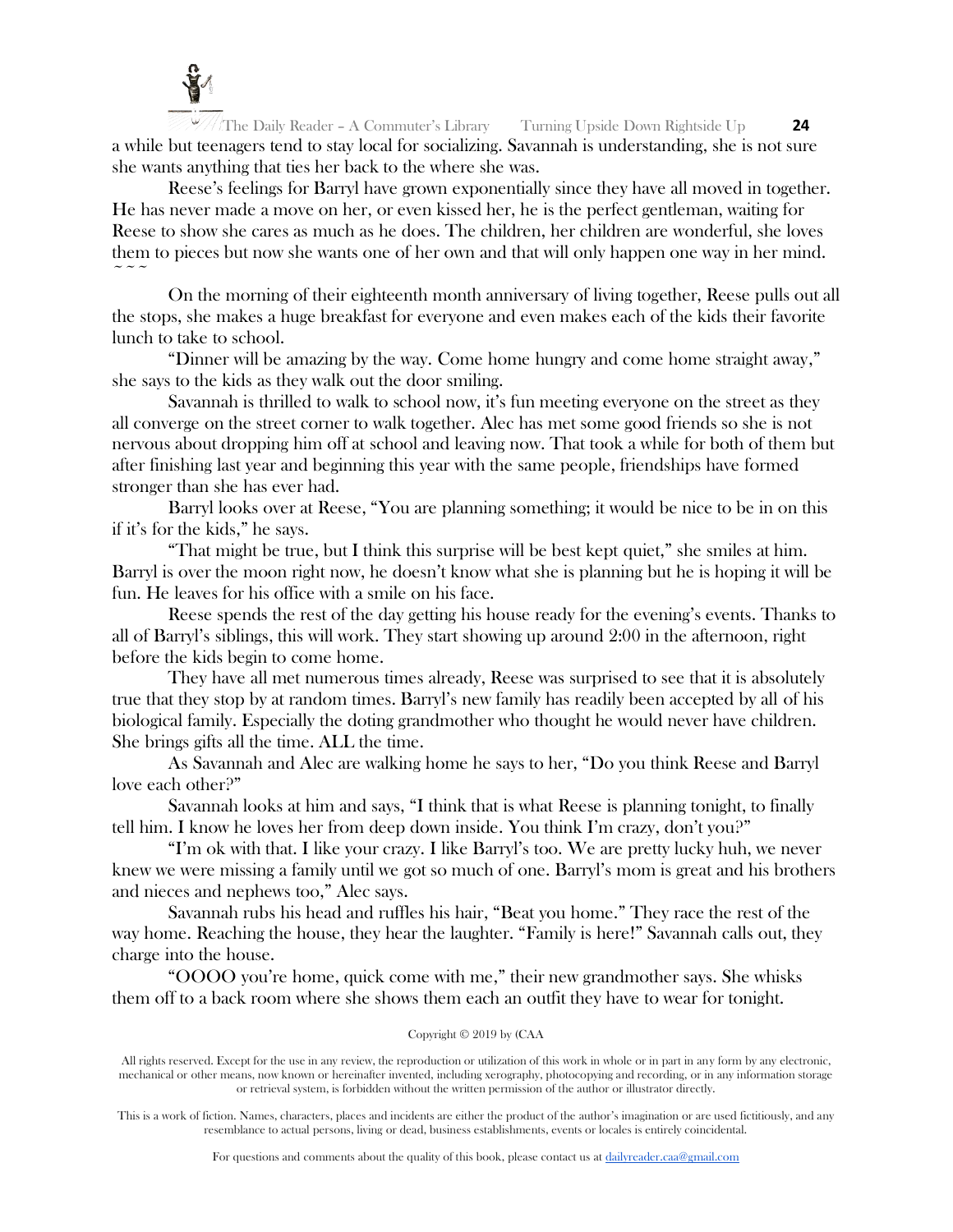

The Daily Reader – A Commuter's Library Turning Upside Down Rightside Up **24** a while but teenagers tend to stay local for socializing. Savannah is understanding, she is not sure she wants anything that ties her back to the where she was.

Reese's feelings for Barryl have grown exponentially since they have all moved in together. He has never made a move on her, or even kissed her, he is the perfect gentleman, waiting for Reese to show she cares as much as he does. The children, her children are wonderful, she loves them to pieces but now she wants one of her own and that will only happen one way in her mind.  $\sim$   $\sim$   $\sim$ 

On the morning of their eighteenth month anniversary of living together, Reese pulls out all the stops, she makes a huge breakfast for everyone and even makes each of the kids their favorite lunch to take to school.

"Dinner will be amazing by the way. Come home hungry and come home straight away," she says to the kids as they walk out the door smiling.

Savannah is thrilled to walk to school now, it's fun meeting everyone on the street as they all converge on the street corner to walk together. Alec has met some good friends so she is not nervous about dropping him off at school and leaving now. That took a while for both of them but after finishing last year and beginning this year with the same people, friendships have formed stronger than she has ever had.

Barryl looks over at Reese, "You are planning something; it would be nice to be in on this if it's for the kids," he says.

"That might be true, but I think this surprise will be best kept quiet," she smiles at him. Barryl is over the moon right now, he doesn't know what she is planning but he is hoping it will be fun. He leaves for his office with a smile on his face.

Reese spends the rest of the day getting his house ready for the evening's events. Thanks to all of Barryl's siblings, this will work. They start showing up around 2:00 in the afternoon, right before the kids begin to come home.

They have all met numerous times already, Reese was surprised to see that it is absolutely true that they stop by at random times. Barryl's new family has readily been accepted by all of his biological family. Especially the doting grandmother who thought he would never have children. She brings gifts all the time. ALL the time.

As Savannah and Alec are walking home he says to her, "Do you think Reese and Barryl love each other?"

Savannah looks at him and says, "I think that is what Reese is planning tonight, to finally tell him. I know he loves her from deep down inside. You think I'm crazy, don't you?"

"I'm ok with that. I like your crazy. I like Barryl's too. We are pretty lucky huh, we never knew we were missing a family until we got so much of one. Barryl's mom is great and his brothers and nieces and nephews too," Alec says.

Savannah rubs his head and ruffles his hair, "Beat you home." They race the rest of the way home. Reaching the house, they hear the laughter. "Family is here!" Savannah calls out, they charge into the house.

"OOOO you're home, quick come with me," their new grandmother says. She whisks them off to a back room where she shows them each an outfit they have to wear for tonight.

## Copyright © 2019 by (CAA

All rights reserved. Except for the use in any review, the reproduction or utilization of this work in whole or in part in any form by any electronic, mechanical or other means, now known or hereinafter invented, including xerography, photocopying and recording, or in any information storage or retrieval system, is forbidden without the written permission of the author or illustrator directly.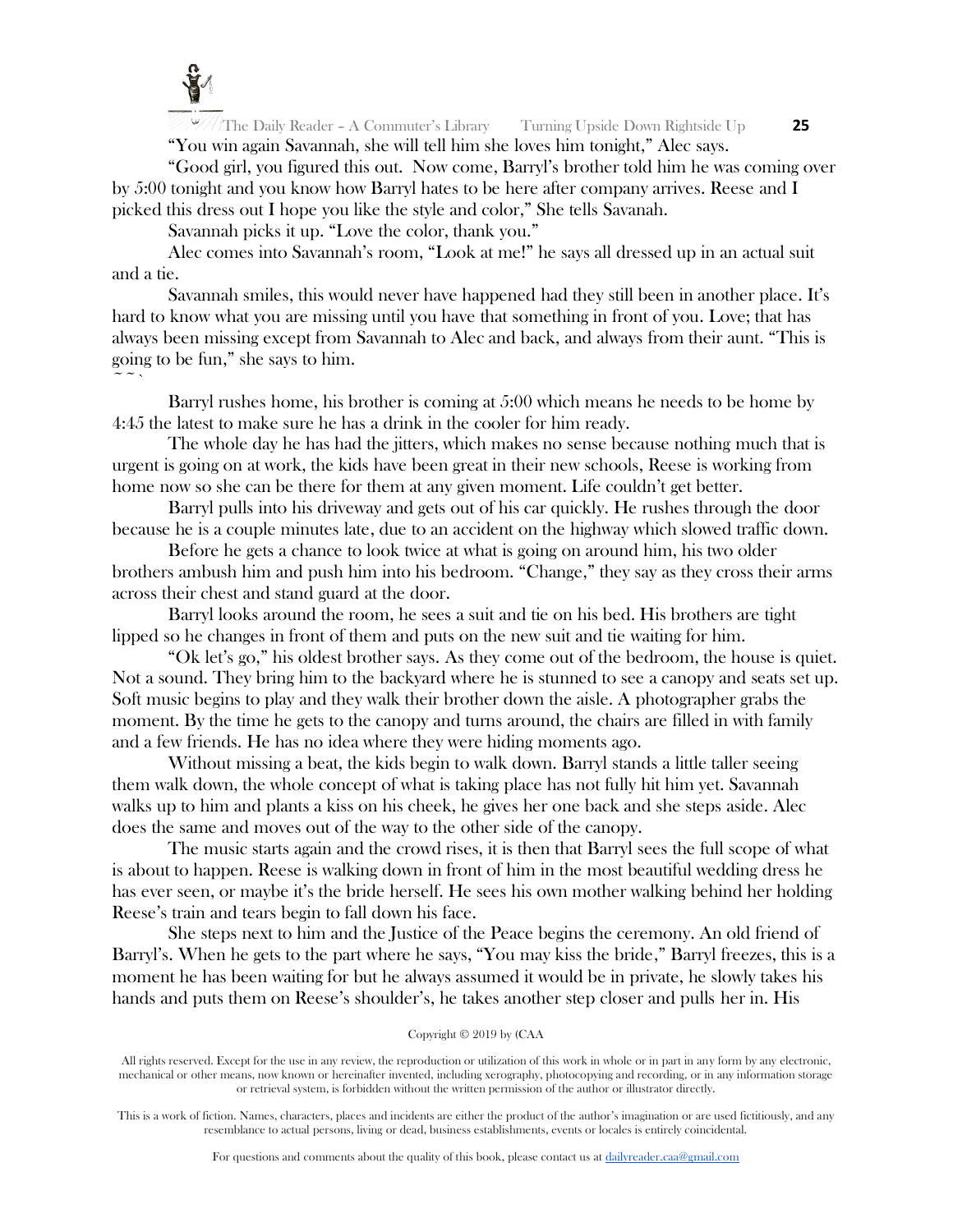

 $\sim$   $\sim$   $\sim$ 

The Daily Reader – A Commuter's Library Turning Upside Down Rightside Up **25** "You win again Savannah, she will tell him she loves him tonight," Alec says.

"Good girl, you figured this out. Now come, Barryl's brother told him he was coming over by 5:00 tonight and you know how Barryl hates to be here after company arrives. Reese and I picked this dress out I hope you like the style and color," She tells Savanah.

Savannah picks it up. "Love the color, thank you."

Alec comes into Savannah's room, "Look at me!" he says all dressed up in an actual suit and a tie.

Savannah smiles, this would never have happened had they still been in another place. It's hard to know what you are missing until you have that something in front of you. Love; that has always been missing except from Savannah to Alec and back, and always from their aunt. "This is going to be fun," she says to him.

Barryl rushes home, his brother is coming at 5:00 which means he needs to be home by 4:45 the latest to make sure he has a drink in the cooler for him ready.

The whole day he has had the jitters, which makes no sense because nothing much that is urgent is going on at work, the kids have been great in their new schools, Reese is working from home now so she can be there for them at any given moment. Life couldn't get better.

Barryl pulls into his driveway and gets out of his car quickly. He rushes through the door because he is a couple minutes late, due to an accident on the highway which slowed traffic down.

Before he gets a chance to look twice at what is going on around him, his two older brothers ambush him and push him into his bedroom. "Change," they say as they cross their arms across their chest and stand guard at the door.

Barryl looks around the room, he sees a suit and tie on his bed. His brothers are tight lipped so he changes in front of them and puts on the new suit and tie waiting for him.

"Ok let's go," his oldest brother says. As they come out of the bedroom, the house is quiet. Not a sound. They bring him to the backyard where he is stunned to see a canopy and seats set up. Soft music begins to play and they walk their brother down the aisle. A photographer grabs the moment. By the time he gets to the canopy and turns around, the chairs are filled in with family and a few friends. He has no idea where they were hiding moments ago.

Without missing a beat, the kids begin to walk down. Barryl stands a little taller seeing them walk down, the whole concept of what is taking place has not fully hit him yet. Savannah walks up to him and plants a kiss on his cheek, he gives her one back and she steps aside. Alec does the same and moves out of the way to the other side of the canopy.

The music starts again and the crowd rises, it is then that Barryl sees the full scope of what is about to happen. Reese is walking down in front of him in the most beautiful wedding dress he has ever seen, or maybe it's the bride herself. He sees his own mother walking behind her holding Reese's train and tears begin to fall down his face.

She steps next to him and the Justice of the Peace begins the ceremony. An old friend of Barryl's. When he gets to the part where he says, "You may kiss the bride," Barryl freezes, this is a moment he has been waiting for but he always assumed it would be in private, he slowly takes his hands and puts them on Reese's shoulder's, he takes another step closer and pulls her in. His

## Copyright © 2019 by (CAA

All rights reserved. Except for the use in any review, the reproduction or utilization of this work in whole or in part in any form by any electronic, mechanical or other means, now known or hereinafter invented, including xerography, photocopying and recording, or in any information storage or retrieval system, is forbidden without the written permission of the author or illustrator directly.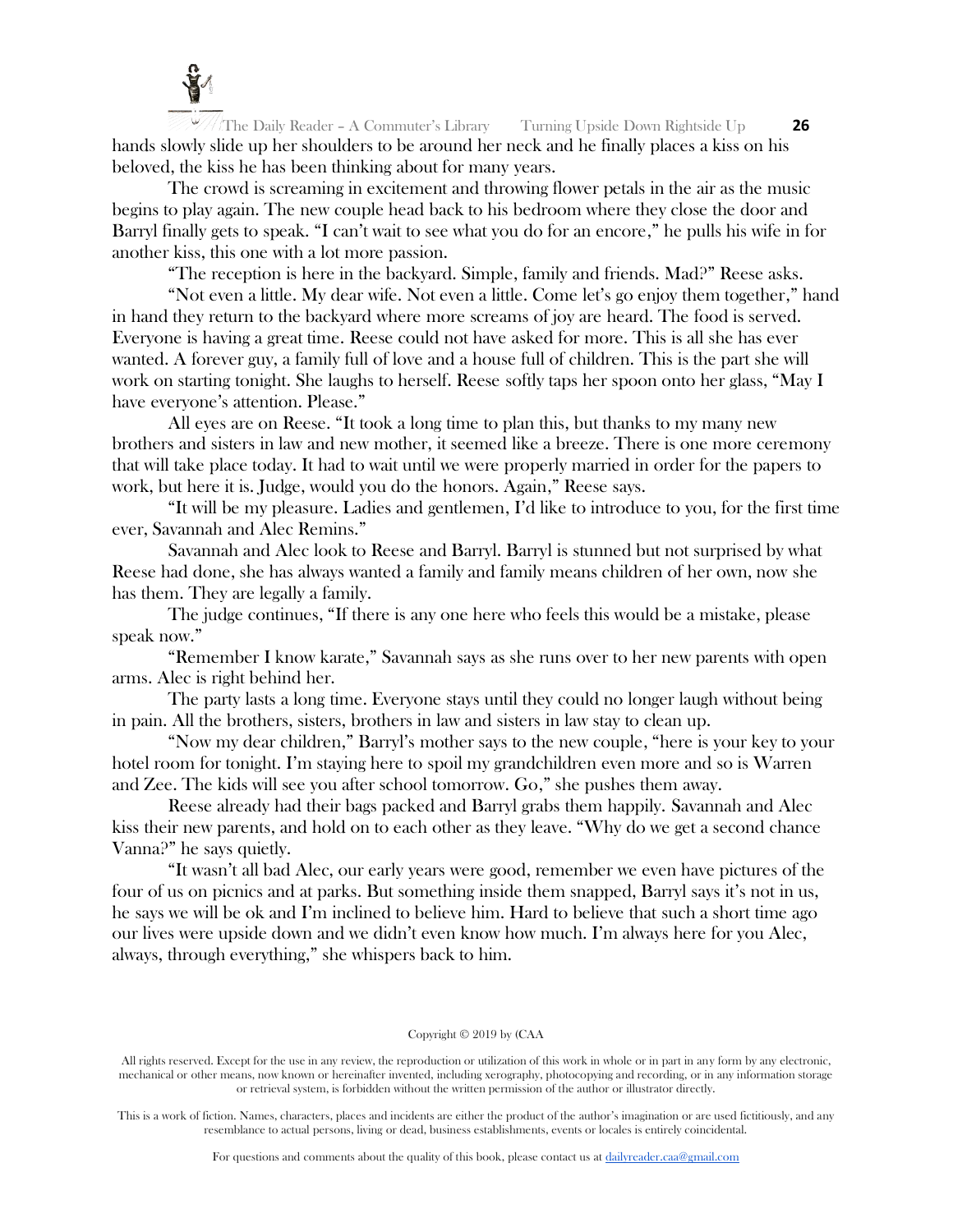

The Daily Reader – A Commuter's Library Turning Upside Down Rightside Up **26** hands slowly slide up her shoulders to be around her neck and he finally places a kiss on his beloved, the kiss he has been thinking about for many years.

The crowd is screaming in excitement and throwing flower petals in the air as the music begins to play again. The new couple head back to his bedroom where they close the door and Barryl finally gets to speak. "I can't wait to see what you do for an encore," he pulls his wife in for another kiss, this one with a lot more passion.

"The reception is here in the backyard. Simple, family and friends. Mad?" Reese asks.

"Not even a little. My dear wife. Not even a little. Come let's go enjoy them together," hand in hand they return to the backyard where more screams of joy are heard. The food is served. Everyone is having a great time. Reese could not have asked for more. This is all she has ever wanted. A forever guy, a family full of love and a house full of children. This is the part she will work on starting tonight. She laughs to herself. Reese softly taps her spoon onto her glass, "May I have everyone's attention. Please."

All eyes are on Reese. "It took a long time to plan this, but thanks to my many new brothers and sisters in law and new mother, it seemed like a breeze. There is one more ceremony that will take place today. It had to wait until we were properly married in order for the papers to work, but here it is. Judge, would you do the honors. Again," Reese says.

"It will be my pleasure. Ladies and gentlemen, I'd like to introduce to you, for the first time ever, Savannah and Alec Remins."

Savannah and Alec look to Reese and Barryl. Barryl is stunned but not surprised by what Reese had done, she has always wanted a family and family means children of her own, now she has them. They are legally a family.

The judge continues, "If there is any one here who feels this would be a mistake, please speak now."

"Remember I know karate," Savannah says as she runs over to her new parents with open arms. Alec is right behind her.

The party lasts a long time. Everyone stays until they could no longer laugh without being in pain. All the brothers, sisters, brothers in law and sisters in law stay to clean up.

"Now my dear children," Barryl's mother says to the new couple, "here is your key to your hotel room for tonight. I'm staying here to spoil my grandchildren even more and so is Warren and Zee. The kids will see you after school tomorrow. Go," she pushes them away.

Reese already had their bags packed and Barryl grabs them happily. Savannah and Alec kiss their new parents, and hold on to each other as they leave. "Why do we get a second chance Vanna?" he says quietly.

"It wasn't all bad Alec, our early years were good, remember we even have pictures of the four of us on picnics and at parks. But something inside them snapped, Barryl says it's not in us, he says we will be ok and I'm inclined to believe him. Hard to believe that such a short time ago our lives were upside down and we didn't even know how much. I'm always here for you Alec, always, through everything," she whispers back to him.

#### Copyright © 2019 by (CAA

All rights reserved. Except for the use in any review, the reproduction or utilization of this work in whole or in part in any form by any electronic, mechanical or other means, now known or hereinafter invented, including xerography, photocopying and recording, or in any information storage or retrieval system, is forbidden without the written permission of the author or illustrator directly.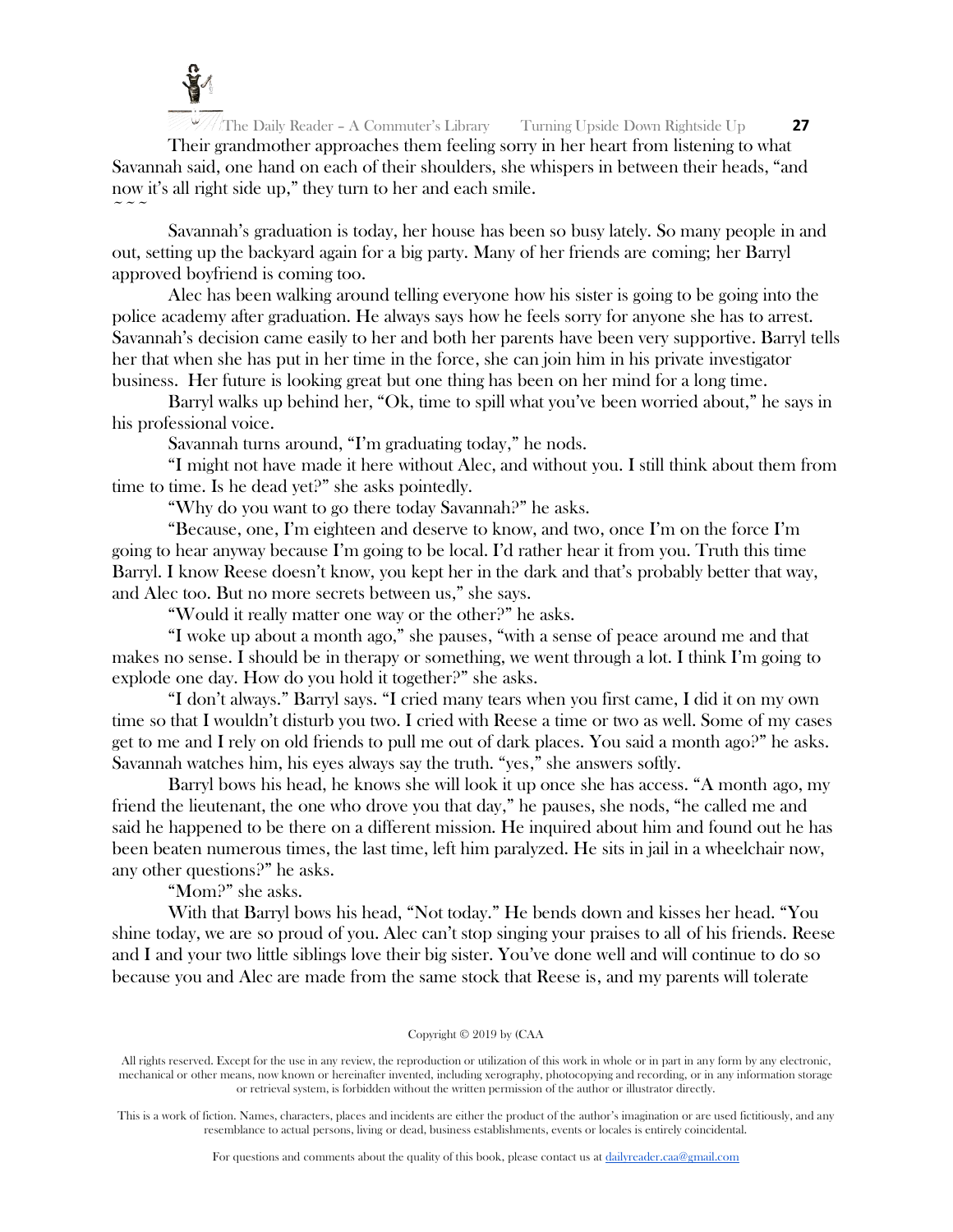

 $\sim$   $\sim$   $\sim$ 

The Daily Reader – A Commuter's Library Turning Upside Down Rightside Up **27** Their grandmother approaches them feeling sorry in her heart from listening to what Savannah said, one hand on each of their shoulders, she whispers in between their heads, "and now it's all right side up," they turn to her and each smile.

Savannah's graduation is today, her house has been so busy lately. So many people in and out, setting up the backyard again for a big party. Many of her friends are coming; her Barryl approved boyfriend is coming too.

Alec has been walking around telling everyone how his sister is going to be going into the police academy after graduation. He always says how he feels sorry for anyone she has to arrest. Savannah's decision came easily to her and both her parents have been very supportive. Barryl tells her that when she has put in her time in the force, she can join him in his private investigator business. Her future is looking great but one thing has been on her mind for a long time.

Barryl walks up behind her, "Ok, time to spill what you've been worried about," he says in his professional voice.

Savannah turns around, "I'm graduating today," he nods.

"I might not have made it here without Alec, and without you. I still think about them from time to time. Is he dead yet?" she asks pointedly.

"Why do you want to go there today Savannah?" he asks.

"Because, one, I'm eighteen and deserve to know, and two, once I'm on the force I'm going to hear anyway because I'm going to be local. I'd rather hear it from you. Truth this time Barryl. I know Reese doesn't know, you kept her in the dark and that's probably better that way, and Alec too. But no more secrets between us," she says.

"Would it really matter one way or the other?" he asks.

"I woke up about a month ago," she pauses, "with a sense of peace around me and that makes no sense. I should be in therapy or something, we went through a lot. I think I'm going to explode one day. How do you hold it together?" she asks.

"I don't always." Barryl says. "I cried many tears when you first came, I did it on my own time so that I wouldn't disturb you two. I cried with Reese a time or two as well. Some of my cases get to me and I rely on old friends to pull me out of dark places. You said a month ago?" he asks. Savannah watches him, his eyes always say the truth. "yes," she answers softly.

Barryl bows his head, he knows she will look it up once she has access. "A month ago, my friend the lieutenant, the one who drove you that day," he pauses, she nods, "he called me and said he happened to be there on a different mission. He inquired about him and found out he has been beaten numerous times, the last time, left him paralyzed. He sits in jail in a wheelchair now, any other questions?" he asks.

"Mom?" she asks.

With that Barryl bows his head, "Not today." He bends down and kisses her head. "You shine today, we are so proud of you. Alec can't stop singing your praises to all of his friends. Reese and I and your two little siblings love their big sister. You've done well and will continue to do so because you and Alec are made from the same stock that Reese is, and my parents will tolerate

#### Copyright © 2019 by (CAA

All rights reserved. Except for the use in any review, the reproduction or utilization of this work in whole or in part in any form by any electronic, mechanical or other means, now known or hereinafter invented, including xerography, photocopying and recording, or in any information storage or retrieval system, is forbidden without the written permission of the author or illustrator directly.